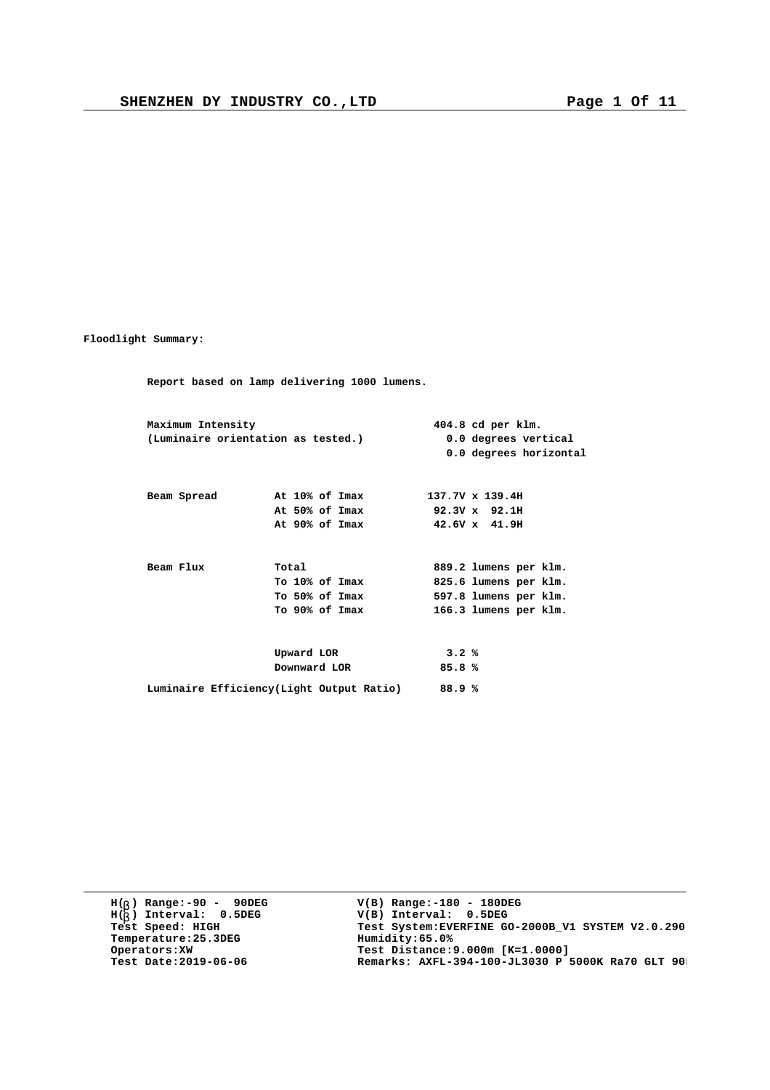**Floodlight Summary:**

**Report based on lamp delivering 1000 lumens. Maximum Intensity 404.8 cd per klm. (Luminaire orientation as tested.) 0.0 degrees vertical 0.0 degrees horizontal Beam Spread At 10% of Imax 137.7V x 139.4H At 50% of Imax 92.3V x 92.1H At 90% of Imax 42.6V x 41.9H** Beam Flux **Total 889.2 lumens per klm.**<br>To 10% of Imax **825.6 lumens per klm. To 10% of Imax 825.6 lumens per klm. To 50% of Imax 597.8 lumens per klm. To 90% of Imax 166.3 lumens per klm. Upward LOR 3.2 % Downward LOR 85.8 % Luminaire Efficiency(Light Output Ratio) 88.9 %**

**H( ) Range:-90 - 90DEG** H(<sub>b</sub>) Range:-90 - 90DE<br>H(<sub>b</sub>) Interval: 0.5DEG **b Temperature:25.3DEG**<br>**Operators:XW**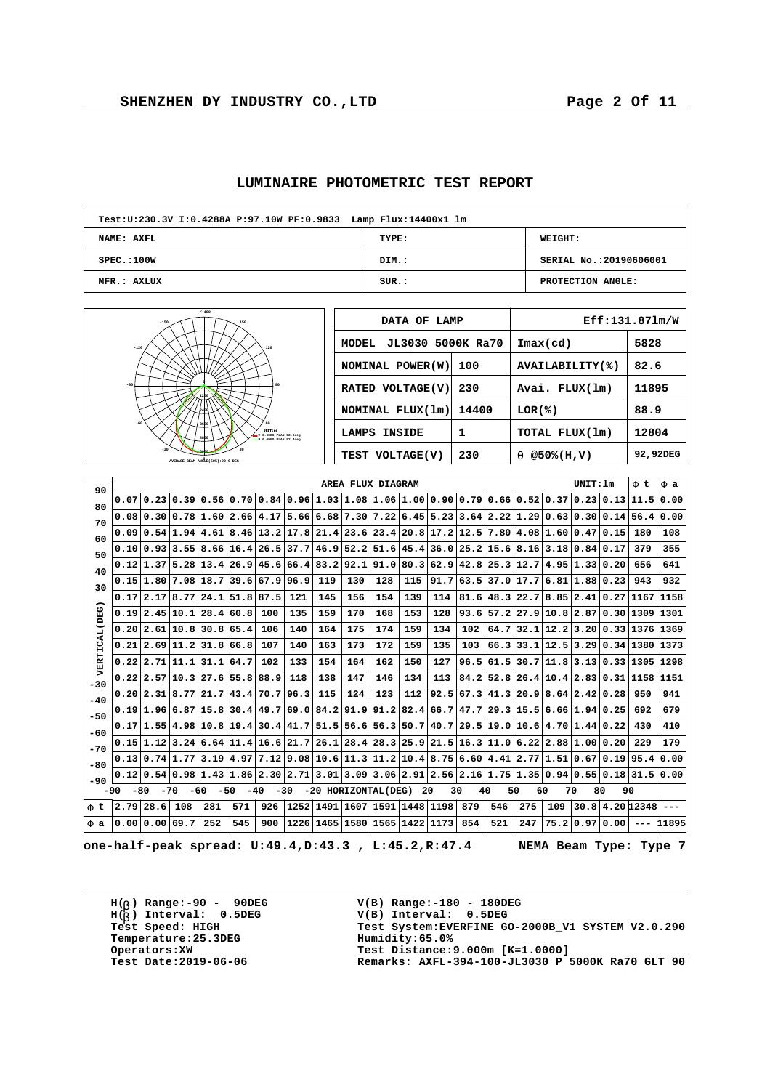|  | LUMINAIRE PHOTOMETRIC TEST REPORT |  |  |
|--|-----------------------------------|--|--|
|--|-----------------------------------|--|--|

| Test: U: 230.3V I: 0.4288A P: 97.10W PF: 0.9833 Lamp Flux: 14400x1 lm |       |                         |
|-----------------------------------------------------------------------|-------|-------------------------|
| NAME: AXFL                                                            | TYPE: | <b>WEIGHT:</b>          |
| SPEC.:100W                                                            | DIM.: | SERIAL No.: 20190606001 |
| MFR.: AXLUX                                                           | SUR.: | PROTECTION ANGLE:       |

| $-7 + 180$<br>$-150$<br>150                                           | DATA OF LAMP               |       |                            | Eff:131.871m/W |
|-----------------------------------------------------------------------|----------------------------|-------|----------------------------|----------------|
| $-120$<br>120                                                         | JL3030 5000K Ra70<br>MODEL |       | $\texttt{Imax}(\text{cd})$ | 5828           |
|                                                                       | NOMINAL POWER (W)          | 100   | AVAILABILITY(%)            | 82.6           |
| $-90$                                                                 | RATED VOLTAGE(V)           | 230   | Avai. FLUX(lm)             | 11895          |
|                                                                       | NOMINAL $FLUX(lm)$         | 14400 | LOR(8)                     | 88.9           |
| $-60$<br>UNIT:od<br>V 0.0DEG PLAN, 92.9deg<br>= E 0.0DEG PLAN.92.4dec | LAMPS INSIDE               | 1     | TOTAL FLUX(1m)             | 12804          |
| AVERAGE BEAM ANGLE(50%): 92.6 DEG                                     | TEST VOLTAGE(V)            | 230   | @50%(H,V)<br>$\mathbf{a}$  | 92,92DEG       |
|                                                                       |                            |       |                            |                |

| 90             |      |                      |                             |                |       |                                                                                                                            |      |                      | AREA FLUX DIAGRAM |             |      |      |           |             |           |                     | UNIT: 1m                                  |           | Ft              | F a   |
|----------------|------|----------------------|-----------------------------|----------------|-------|----------------------------------------------------------------------------------------------------------------------------|------|----------------------|-------------------|-------------|------|------|-----------|-------------|-----------|---------------------|-------------------------------------------|-----------|-----------------|-------|
| 80             | 0.07 |                      |                             |                |       | $[0.23] 0.39] 0.56] 0.70] 0.84] 0.96] 1.03] 1.08] 1.06] 1.00$                                                              |      |                      |                   |             |      | 0.90 |           | 0.790.66    | 0.52 0.37 |                     |                                           | 0.23 0.13 | 11.5            | 0.00  |
| 70             |      |                      |                             |                |       | $0.08 0.30 0.78 1.60 2.66 4.17 5.66 6.68 7.30 7.22 6.45 5.23$                                                              |      |                      |                   |             |      |      |           |             |           | 3.64 2.22 1.29 0.63 | 0.30 0.14                                 |           | 56.4            | 0.00  |
| 60             | 0.09 |                      |                             |                |       | $\vert 0.54 \vert 1.94 \vert 4.61 \vert 8.46 \vert 13.2 \vert 17.8 \vert 21.4 \vert 23.6 \vert 23.4 \vert 20.8 \vert 23.4$ |      |                      |                   |             |      |      |           |             |           |                     | $17.2$  12.5 7.80 4.08 1.60 0.47 0.15     |           | 180             | 108   |
| 50             |      |                      |                             |                |       | 0.10 0.93 3.55 8.66 16.4 26.5 37.7                                                                                         |      |                      | $46.9$ 52.2 51.6  |             | 45.4 | 36.0 |           | $25.2$ 15.6 |           | 8.16 3.18           | 0.84                                      | 0.17      | 379             | 355   |
| 40             |      |                      | $0.12$  1.37 5.28 13.4 26.9 |                |       |                                                                                                                            |      | 45.6 66.4 83.2       |                   | $92.1$ 91.0 | 80.3 | 62.9 |           |             |           |                     | $42.8$ $25.3$ $12.7$ $4.95$ $1.33$ $0.20$ |           | 656             | 641   |
| 30             |      |                      |                             |                |       | 0.15 1.80 7.08 18.7 39.6 67.9 96.9                                                                                         |      | 119                  | 130               | 128         | 115  | 91.7 |           |             |           |                     | $63.5$  37.0 17.7 6.81 1.88 0.23          |           | 943             | 932   |
|                |      | 0.17 2.17 8.77       |                             | 24.1           | 51.8  | 87.5                                                                                                                       | 121  | 145                  | 156               | 154         | 139  | 114  |           |             |           |                     | $81.6$ 48.3 22.7 8.85 2.41 0.27           |           | 1167            | 1158  |
|                | 0.19 | 2.45                 | 10.1                        | 28.4           | 60.8  | 100                                                                                                                        | 135  | 159                  | 170               | 168         | 153  | 128  | 93.6      | 57.2        |           |                     | $27.9$  10.8 2.87 0.30                    |           | 1309            | 1301  |
|                | 0.20 |                      | 2.61 10.8 30.8 65.4         |                |       | 106                                                                                                                        | 140  | 164                  | 175               | 174         | 159  | 134  | 102       | 64.7        |           |                     | 32.1 12.2 3.20 0.33 1376                  |           |                 | 1369  |
| VERTICAL (DEG) | 0.21 |                      | $2.69$  11.2 31.8 66.8      |                |       | 107                                                                                                                        | 140  | 163                  | 173               | 172         | 159  | 135  | 103       | 66.3        |           |                     | 33.1 12.5 3.29 0.34 1380                  |           |                 | 1373  |
|                | 0.22 | $2.71$ 11.1          |                             | 31.1           | 64.7  | 102                                                                                                                        | 133  | 154                  | 164               | 162         | 150  | 127  | 96.5      | 61.5        |           |                     | 30.7 11.8 3.13 0.33                       |           | 1305            | 1298  |
| $-30$          | 0.22 |                      | $2.57$  10.3 27.6 55.8      |                |       | 88.9                                                                                                                       | 118  | 138                  | 147               | 146         | 134  | 113  | 84.2      | 52.8        |           |                     | 26.4 10.4 2.83 0.31                       |           | 1158            | 1151  |
| $-40$          |      | $0.20$   2.31   8.77 |                             | $ 21.7\rangle$ |       | 43.4 70.7                                                                                                                  | 96.3 | 115                  | 124               | 123         | 112  | 92.5 |           |             |           |                     | 67.3 41.3 20.9 8.64 2.42 0.28             |           | 950             | 941   |
| $-50$          |      | 0.19 1.96 6.87       |                             |                |       | 15.8 30.4 49.7 69.0                                                                                                        |      | 84.2                 | 91.9              | 91.2        | 82.4 | 66.7 | 47.7      |             |           |                     | 29.3 15.5 6.66 1.94 0.25                  |           | 692             | 679   |
| $-60$          |      |                      |                             |                |       | $0.17 1.55 4.98 10.8 19.4 30.4 41.7 51.5 56.6 $                                                                            |      |                      |                   | 56.3        | 50.7 | 40.7 |           |             |           |                     | 29.5 19.0 10.6 4.70 1.44 0.22             |           | 430             | 410   |
| $-70$          |      |                      |                             |                |       | $0.15 1.12 3.24 6.64 11.4 16.6 21.7 26.1 28.4 28.3 $                                                                       |      |                      |                   |             | 25.9 | 21.5 |           |             |           |                     | $16.3$ 11.0 6.22 2.88 1.00 0.20           |           | 229             | 179   |
| $-80$          |      | 0.13 0.74 1.77       |                             |                |       | $\vert 3.19 \vert 4.97 \vert 7.12 \vert 9.08 \vert 10.6 \vert 11.3 \vert 11.2 \vert 10.4 \vert$                            |      |                      |                   |             |      | 8.75 | 6.6014.41 |             |           | 2.77 1.51           | 0.67                                      | 0.19      | 95.4 0.00       |       |
| $-90$          | 0.12 |                      |                             |                |       | $0.54 0.98 1.43 1.86 2.30 2.71 3.01 3.09 3.06 2.91 2.56 2.16 1.75 1.35 0.94 0.55 0.18 $                                    |      |                      |                   |             |      |      |           |             |           |                     |                                           |           | 31.5 0.00       |       |
| $-90$          | -80  | $-70$                |                             | -60            | $-50$ | $-40$<br>$-30$                                                                                                             |      | -20 HORIZONTAL(DEG)  |                   |             | 20   |      | 30        | 40<br>50    | 60        |                     | 80<br>70                                  |           | 90              |       |
| Ft             | 2.79 | 28.6                 | 108                         | 281            | 571   | 926                                                                                                                        |      | $1252$ $1491$ $1607$ |                   | 1591        | 1448 | 1198 | 879       | 546         | 275       | 109                 |                                           |           | 30.8 4.20 12348 |       |
| Fa             | 0.00 | 0.00                 | 69.7                        | 252            | 545   | 900                                                                                                                        |      | 1226 1465            |                   | 1580 1565   | 1422 | 1173 | 854       | 521         | 247       | 75.2                | 0.97                                      | 0.00      |                 | 11895 |

**one-half-peak spread: U:49.4,D:43.3 , L:45.2,R:47.4 NEMA Beam Type: Type 7**

**H( ) Range:-90 - 90DEG** H(<sub>b</sub>) Range:-90 - 90DE<br>H(<sub>b</sub>) Interval: 0.5DEG **b Temperature:25.3DEG**<br>**Operators:XW**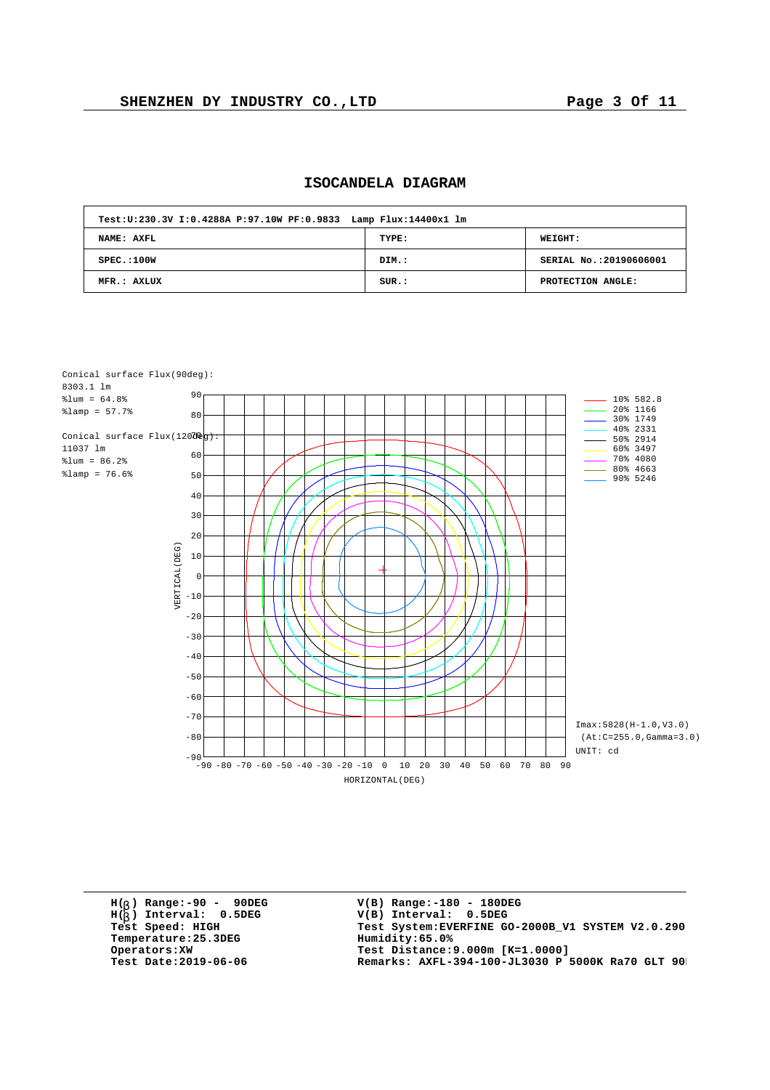| ISOCANDELA DIAGRAM |  |
|--------------------|--|
|--------------------|--|

| Test: U: 230.3V I: 0.4288A P: 97.10W PF: 0.9833 Lamp Flux: 14400x1 lm |       |                         |
|-----------------------------------------------------------------------|-------|-------------------------|
| NAME: AXFL                                                            | TYPE: | <b>WEIGHT:</b>          |
| SPEC.:100W                                                            | DIM.: | SERIAL No.: 20190606001 |
| MFR.: AXLUX                                                           | SUR.: | PROTECTION ANGLE:       |



**H( ) Range:-90 - 90DEG** H(<sub>b</sub>) Range:-90 - 90DE<br>H(<sub>b</sub>) Interval: 0.5DEG **b Temperature: 25.3DEG**<br>**Operators: XW**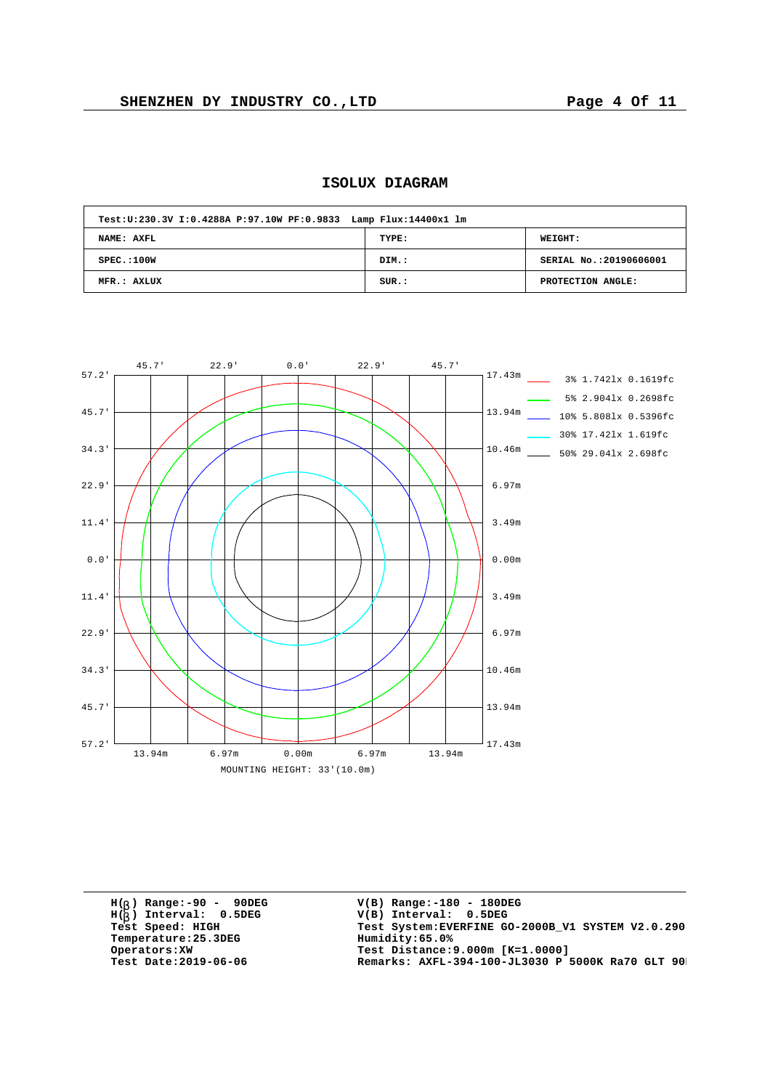| Test: U: 230.3V I: 0.4288A P: 97.10W PF: 0.9833 Lamp Flux: 14400x1 lm |       |                         |  |  |  |  |  |  |  |  |  |
|-----------------------------------------------------------------------|-------|-------------------------|--|--|--|--|--|--|--|--|--|
| NAME: AXFL                                                            | TYPE: | <b>WEIGHT:</b>          |  |  |  |  |  |  |  |  |  |
| SPEC.:100W                                                            | DIM.: | SERIAL No.: 20190606001 |  |  |  |  |  |  |  |  |  |
| MFR.: AXLUX                                                           | SUR.: | PROTECTION ANGLE:       |  |  |  |  |  |  |  |  |  |





**H( ) Range:-90 - 90DEG** H(<sub>b</sub>) Range:-90 - 90DE<br>H(<sub>b</sub>) Interval: 0.5DEG **b**  $Temperature:25.3DEG$ <br>Operators:XW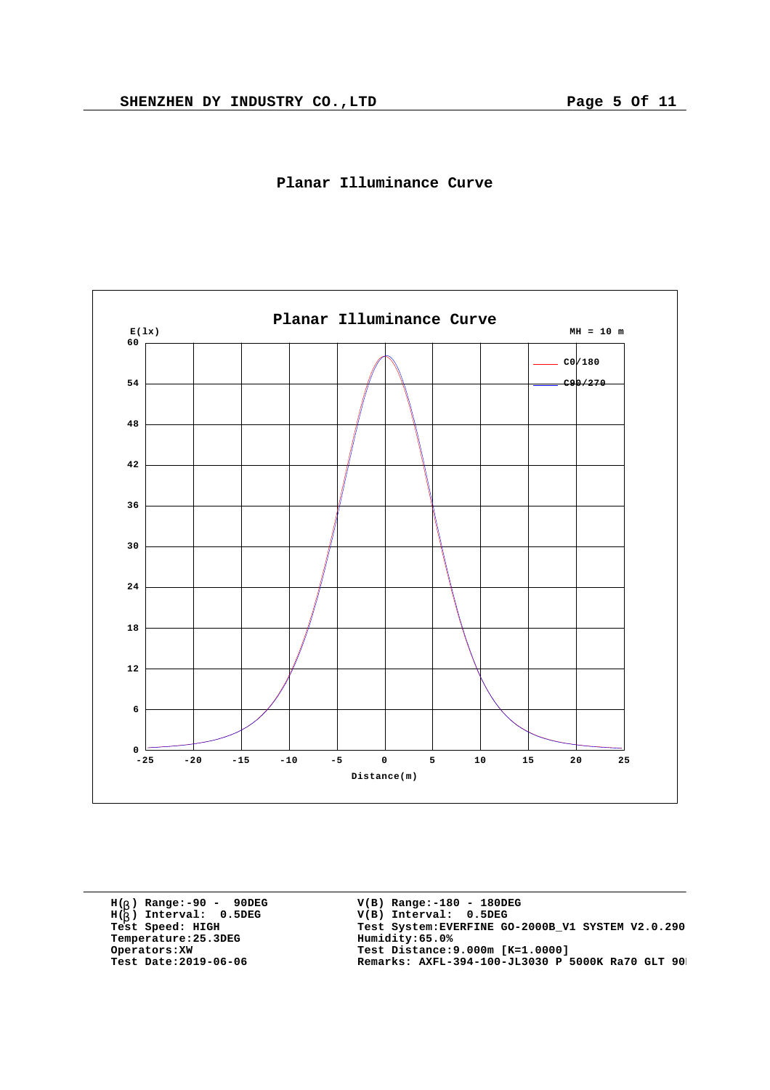



**H( ) Range:-90 - 90DEG** H(<sub>b</sub>) Range:-90 - 90DE<br>H(<sub>b</sub>) Interval: 0.5DEG **b**  $Temperature:25.3DEG$ <br>Operators:XW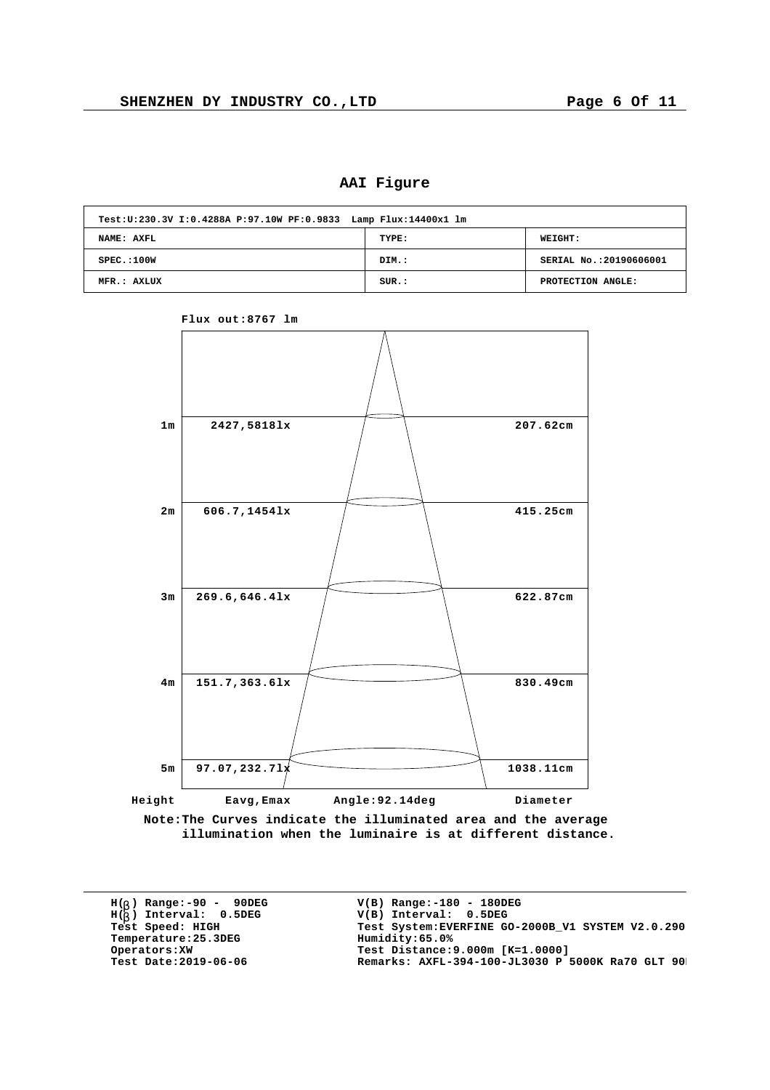**AAI Figure**

| Test: U: 230.3V I: 0.4288A P: 97.10W PF: 0.9833 Lamp Flux: 14400x1 lm |       |                         |
|-----------------------------------------------------------------------|-------|-------------------------|
| NAME: AXFL                                                            | TYPE: | WEIGHT:                 |
| SPEC.:100W                                                            | DIM.: | SERIAL No.: 20190606001 |
| MFR.: AXLUX                                                           | SUR.: | PROTECTION ANGLE:       |



**Flux out:8767 lm**

**Note:The Curves indicate the illuminated area and the average illumination when the luminaire is at different distance.**

**H( ) Range:-90 - 90DEG** H(<sub>b</sub>) Range:-90 - 90DE<br>H(<sub>b</sub>) Interval: 0.5DEG **b**  $Temperature:25.3DEG$ <br>Operators:XW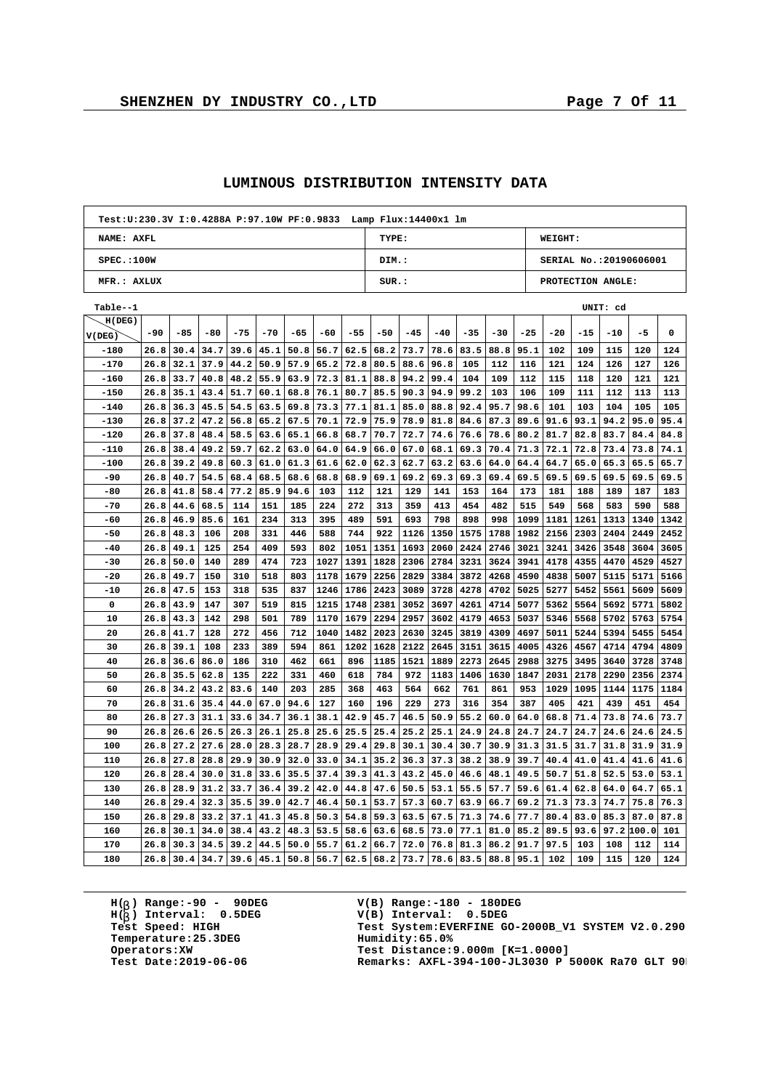$\overline{1}$ 

|             | Test: U: 230.3V I: 0.4288A P: 97.10W PF: 0.9833 Lamp Flux: 14400x1 lm |       |       |       |                      |       |       |       |       |           |       |       |                  |       |                        |       |                   |            |      |
|-------------|-----------------------------------------------------------------------|-------|-------|-------|----------------------|-------|-------|-------|-------|-----------|-------|-------|------------------|-------|------------------------|-------|-------------------|------------|------|
| NAME: AXFL  |                                                                       |       |       |       |                      |       |       |       | TYPE: |           |       |       |                  |       | WEIGHT:                |       |                   |            |      |
| SPEC.:100W  |                                                                       |       |       |       |                      |       |       |       | DIM.: |           |       |       |                  |       | SERIAL No.:20190606001 |       |                   |            |      |
| MFR.: AXLUX |                                                                       |       |       |       |                      |       |       |       | SUR.: |           |       |       |                  |       |                        |       | PROTECTION ANGLE: |            |      |
| Table--1    |                                                                       |       |       |       |                      |       |       |       |       |           |       |       |                  |       |                        |       | UNIT: cd          |            |      |
| H(DEG)      |                                                                       |       |       |       |                      |       |       |       |       |           |       |       |                  |       |                        |       |                   |            |      |
| V(DEG)      | $-90$                                                                 | $-85$ | $-80$ | $-75$ | $-70$                | $-65$ | $-60$ | $-55$ | $-50$ | $-45$     | $-40$ | $-35$ | $-30$            | $-25$ | $-20$                  | $-15$ | $-10$             | -5         | 0    |
| $-180$      | 26.8                                                                  | 30.4  | 34.7  | 39.6  | 45.1                 | 50.8  | 56.7  | 62.5  | 68.2  | 73.7      | 78.6  | 83.5  | 88.8             | 95.1  | 102                    | 109   | 115               | 120        | 124  |
| $-170$      | 26.8                                                                  | 32.1  | 37.9  | 44.2  | 50.9                 | 57.9  | 65.2  | 72.8  | 80.5  | 88.6      | 96.8  | 105   | 112              | 116   | 121                    | 124   | 126               | 127        | 126  |
| $-160$      | 26.8                                                                  | 33.7  | 40.8  | 48.2  | 55.9                 | 63.9  | 72.3  | 81.1  | 88.8  | 94.2      | 99.4  | 104   | 109              | 112   | 115                    | 118   | 120               | 121        | 121  |
| $-150$      | 26.8                                                                  | 35.1  | 43.4  | 51.7  | 60.1                 | 68.8  | 76.1  | 80.7  | 85.5  | 90.3      | 94.9  | 99.2  | 103              | 106   | 109                    | 111   | 112               | 113        | 113  |
| $-140$      | 26.8                                                                  | 36.3  | 45.5  | 54.5  | 63.5                 | 69.8  | 73.3  | 77.1  | 81.1  | 85.0      | 88.8  | 92.4  | 95.7             | 98.6  | 101                    | 103   | 104               | 105        | 105  |
| -130        | 26.8                                                                  | 37.2  | 47.2  | 56.8  | 65.2                 | 67.5  | 70.1  | 72.9  | 75.9  | 78.9      | 81.8  | 84.6  | 87.3             | 89.6  | 91.6                   | 93.1  | 94.2              | 95.0       | 95.4 |
| $-120$      | 26.8                                                                  | 37.8  | 48.4  | 58.5  | 63.6                 | 65.1  | 66.8  | 68.7  | 70.7  | 72.7      | 74.6  | 76.6  | 78.6             | 80.2  | 81.7                   | 82.8  | 83.7              | 84.4       | 84.8 |
| $-110$      | 26.8                                                                  | 38.4  | 49.2  | 59.7  | 62.2                 | 63.0  | 64.0  | 64.9  | 66.0  | 67.0      | 68.1  | 69.3  | 70.4             | 71.3  | 72.1                   | 72.8  | 73.4              | 73.8       | 74.1 |
| $-100$      | 26.8                                                                  | 39.2  | 49.8  | 60.3  | 61.0                 | 61.3  | 61.6  | 62.0  | 62.3  | 62.7      | 63.2  | 63.6  | 64.0             | 64.4  | 64.7                   | 65.0  | 65.3              | 65.5       | 65.7 |
| $-90$       | 26.8                                                                  | 40.7  | 54.5  | 68.4  | 68.5                 | 68.6  | 68.8  | 68.9  | 69.1  | 69.2      | 69.3  | 69.3  | 69.4             | 69.5  | 69.5                   | 69.5  | 69.5              | 69.5       | 69.5 |
| $-80$       | 26.8                                                                  | 41.8  | 58.4  | 77.2  | 85.9                 | 94.6  | 103   | 112   | 121   | 129       | 141   | 153   | 164              | 173   | 181                    | 188   | 189               | 187        | 183  |
| $-70$       | 26.8                                                                  | 44.6  | 68.5  | 114   | 151                  | 185   | 224   | 272   | 313   | 359       | 413   | 454   | 482              | 515   | 549                    | 568   | 583               | 590        | 588  |
| -60         | 26.8                                                                  | 46.9  | 85.6  | 161   | 234                  | 313   | 395   | 489   | 591   | 693       | 798   | 898   | 998              | 1099  | 1181                   | 1261  | 1313              | 1340       | 1342 |
| $-50$       | 26.8                                                                  | 48.3  | 106   | 208   | 331                  | 446   | 588   | 744   | 922   | 1126      | 1350  | 1575  | 1788             | 1982  | 2156                   | 2303  | 2404              | 2449       | 2452 |
| $-40$       | 26.8                                                                  | 49.1  | 125   | 254   | 409                  | 593   | 802   | 1051  | 1351  | 1693      | 2060  | 2424  | 2746             | 3021  | 3241                   | 3426  | 3548              | 3604       | 3605 |
| $-30$       | 26.8                                                                  | 50.0  | 140   | 289   | 474                  | 723   | 1027  | 1391  | 1828  | 2306      | 2784  | 3231  | 3624             | 3941  | 4178                   | 4355  | 4470              | 4529       | 4527 |
| -20         | 26.8                                                                  | 49.7  | 150   | 310   | 518                  | 803   | 1178  | 1679  | 2256  | 2829      | 3384  | 3872  | 4268             | 4590  | 4838                   | 5007  | 5115              | 5171       | 5166 |
| $-10$       | 26.8                                                                  | 47.5  | 153   | 318   | 535                  | 837   | 1246  | 1786  | 2423  | 3089      | 3728  | 4278  | 4702             | 5025  | 5277                   | 5452  | 5561              | 5609       | 5609 |
| 0           | 26.8                                                                  | 43.9  | 147   | 307   | 519                  | 815   | 1215  | 1748  | 2381  | 3052      | 3697  | 4261  | 4714             | 5077  | 5362                   | 5564  | 5692              | 5771       | 5802 |
| 10          | 26.8                                                                  | 43.3  | 142   | 298   | 501                  | 789   | 1170  | 1679  | 2294  | 2957      | 3602  | 4179  | 4653             | 5037  | 5346                   | 5568  | 5702              | 5763       | 5754 |
| 20          | 26.8                                                                  | 41.7  | 128   | 272   | 456                  | 712   | 1040  | 1482  | 2023  | 2630      | 3245  | 3819  | 4309             | 4697  | 5011                   | 5244  | 5394              | 5455       | 5454 |
| 30          | 26.8                                                                  | 39.1  | 108   | 233   | 389                  | 594   | 861   | 1202  | 1628  | 2122      | 2645  | 3151  | 3615             | 4005  | 4326                   | 4567  | 4714              | 4794       | 4809 |
| 40          | 26.8                                                                  | 36.6  | 86.0  | 186   | 310                  | 462   | 661   | 896   | 1185  | 1521      | 1889  | 2273  | 2645             | 2988  | 3275                   | 3495  | 3640              | 3728       | 3748 |
| 50          | 26.8                                                                  | 35.5  | 62.8  | 135   | 222                  | 331   | 460   | 618   | 784   | 972       | 1183  | 1406  | 1630             | 1847  | 2031                   | 2178  | 2290              | 2356       | 2374 |
| 60          | 26.8                                                                  | 34.2  | 43.2  | 83.6  | 140                  | 203   | 285   | 368   | 463   | 564       | 662   | 761   | 861              | 953   | 1029                   | 1095  | 1144              | 1175       | 1184 |
| 70          | 26.8                                                                  | 31.6  | 35.4  | 44.0  | 67.0                 | 94.6  | 127   | 160   | 196   | 229       | 273   | 316   | 354              | 387   | 405                    | 421   | 439               | 451        | 454  |
| 80          | 26.8                                                                  | 27.3  | 31.1  | 33.6  | 34.7                 | 36.1  | 38.1  | 42.9  | 45.7  | 46.5      | 50.9  | 55.2  | 60.0             | 64.0  | 68.8                   | 71.4  | 73.8              | 74.6       | 73.7 |
| 90          | 26.8                                                                  | 26.6  | 26.5  | 26.3  | 26.1                 | 25.8  | 25.6  | 25.5  | 25.4  | 25.2      | 25.1  | 24.9  | 24.8             | 24.7  | 24.7                   | 24.7  | 24.6              | 24.6       | 24.5 |
| 100         | 26.8                                                                  | 27.2  | 27.6  | 28.0  | 28.3                 | 28.7  | 28.9  | 29.4  | 29.8  | 30.1      | 30.4  | 30.7  | 30.9             | 31.3  | 31.5                   | 31.7  | 31.8              | 31.9       | 31.9 |
| 110         | 26.8                                                                  | 27.8  | 28.8  | 29.9  | 30.9                 | 32.0  | 33.0  | 34.1  | 35.2  | 36.3      | 37.3  | 38.2  | 38.9             | 39.7  | 40.4                   | 41.0  | 41.4              | 41.6       | 41.6 |
| 120         | 26.8                                                                  | 28.4  | 30.0  | 31.8  | 33.6                 | 35.5  | 37.4  | 39.3  | 41.3  | 43.2      | 45.0  | 46.6  | 48.1             | 49.5  | 50.7                   | 51.8  | 52.5              | 53.0       | 53.1 |
| 130         | 26.8                                                                  | 28.9  | 31.2  | 33.7  | 36.4                 | 39.2  | 42.0  | 44.8  | 47.6  | 50.5      | 53.1  | 55.5  | 57.7             | 59.6  | 61.4                   | 62.8  | 64.0              | 64.7       | 65.1 |
| 140         | 26.8                                                                  | 29.4  | 32.3  | 35.5  | 39.0                 | 42.7  | 46.4  | 50.1  | 53.7  | 57.3      | 60.7  | 63.9  | 66.7             | 69.2  | 71.3                   | 73.3  | 74.7              | 75.8       | 76.3 |
| 150         | 26.8                                                                  | 29.8  | 33.2  | 37.1  | 41.3                 | 45.8  | 50.3  | 54.8  | 59.3  | 63.5      | 67.5  | 71.3  | 74.6             | 77.7  | 80.4                   | 83.0  | 85.3              | 87.0       | 87.8 |
| 160         | 26.8                                                                  | 30.1  | 34.0  | 38.4  | 43.2                 | 48.3  | 53.5  | 58.6  | 63.6  | 68.5      | 73.0  | 77.1  | 81.0             | 85.2  | 89.5                   | 93.6  |                   | 97.2 100.0 | 101  |
| 170         | 26.8                                                                  | 30.3  | 34.5  | 39.2  | 44.5                 | 50.0  | 55.7  | 61.2  | 66.7  | 72.0      | 76.8  | 81.3  | 86.2             | 91.7  | 97.5                   | 103   | 108               | 112        | 114  |
| 180         | 26.8                                                                  | 30.4  | 34.7  |       | $39.6$   45.1   50.8 |       | 56.7  | 62.5  |       | 68.2 73.7 | 78.6  |       | $83.5$ 88.8 95.1 |       | 102                    | 109   | 115               | 120        | 124  |

## **LUMINOUS DISTRIBUTION INTENSITY DATA**

**H( ) Range:-90 - 90DEG** H(<sub>b</sub>) Range:-90 - 90DE<br>H(<sub>b</sub>) Interval: 0.5DEG **b**  $Temperature:25.3DEG$ <br>Operators:XW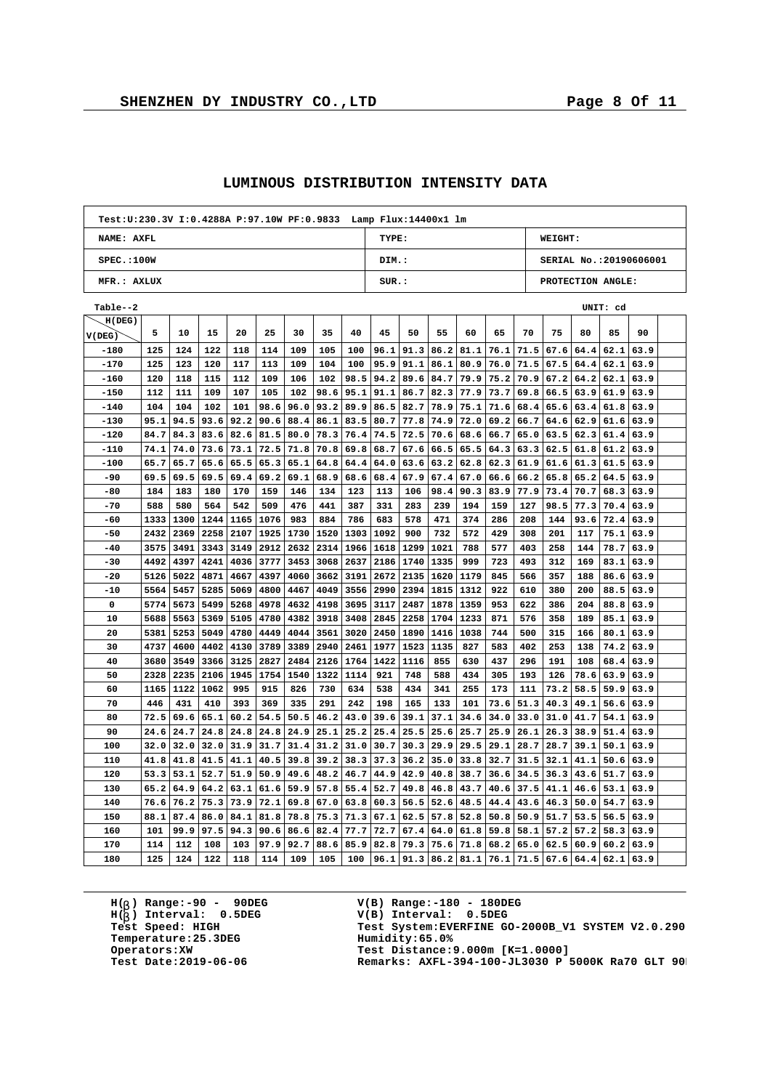$\overline{1}$ 

h

| TYPE:<br>WEIGHT:<br>NAME: AXFL<br>SPEC.:100W<br>DIM.:<br>SERIAL No.:20190606001<br>MFR.: AXLUX<br>SUR.:<br>PROTECTION ANGLE:<br>Table--2<br>UNIT: cd<br>H(DEG)<br>75<br>5<br>30<br>35<br>40<br>50<br>60<br>65<br>70<br>85<br>90<br>10<br>15<br>20<br>25<br>45<br>55<br>80<br>V(DEG)<br>$-180$<br>125<br>124<br>122<br>118<br>114<br>109<br>105<br>100<br>96.1<br>91.3<br>86.2<br>81.1<br>76.1<br>71.5<br>67.6<br>64.4<br>62.1<br>63.9<br>$-170$<br>125<br>120<br>104<br>86.1<br>76.0<br>67.5<br>123<br>117<br>113<br>109<br>100<br>95.9<br>91.1<br>80.9<br>71.5<br>64.4<br>62.1<br>63.9<br>$-160$<br>120<br>102<br>98.5<br>70.9<br>118<br>115<br>112<br>109<br>106<br>94.2<br>89.6<br>84.7<br>79.9<br>75.2<br>$67.2$ 64.2<br>62.1<br>63.9<br>$-150$<br>112<br>111<br>109<br>107<br>105<br>102<br>98.6<br>95.1<br>91.1<br>86.7<br>82.3<br>77.9<br>73.7<br>69.8<br>66.5<br>  63.9<br>61.9<br>63.9<br>$-140$<br>104<br>104<br>102<br>98.6<br>96.0<br>93.2<br>89.9<br>86.5<br>82.7<br>78.9<br>75.1<br>71.6<br>65.6<br>101<br>68.4<br>63.4<br>61.8<br>63.9<br>94.5<br>92.2<br>90.6<br>74.9<br>69.2<br>$-130$<br>95.1<br>93.6<br>88.4<br>86.1<br>83.5<br>80.7<br>77.8<br>72.0<br>66.7<br>64.6<br>62.9<br>61.6<br>63.9<br>$-120$<br>84.7<br>84.3<br>82.6<br>76.4<br>83.6<br>81.5<br>80.0<br>78.3<br>74.5<br>72.5<br>70.6<br>68.6<br>66.7<br>65.0<br>63.5<br>62.3<br>61.4<br>63.9<br>$-110$<br>74.1<br>74.0<br>73.6<br>73.1<br>72.5<br>71.8<br>70.8<br>69.8<br>68.7<br>67.6<br>66.5<br>65.5<br>64.3<br>63.3<br>62.5<br>61.8<br>61.2<br>63.9<br>$-100$<br>65.7<br>65.7<br>65.6<br>65.5<br>65.3<br>65.1<br>64.8<br>64.4<br>63.2<br>62.8<br>62.3<br>61.9<br>61.6<br>61.3<br>64.0<br>63.6<br>61.5<br>63.9<br>-90<br>69.5<br>69.5<br>69.5<br>69.4<br>69.1<br>68.9<br>68.4<br>67.9<br>67.4<br>67.0<br>66.6<br>66.2<br>65.8<br>65.2<br>64.5<br>69.2<br>68.6<br>63.9<br>184<br>-80<br>183<br>180<br>170<br>159<br>146<br>134<br>123<br>113<br>106<br>98.4<br>90.3<br>83.9<br>77.9<br>73.4<br>70.7<br>68.3<br>63.9<br>$-70$<br>588<br>580<br>564<br>542<br>509<br>476<br>441<br>387<br>331<br>283<br>239<br>194<br>159<br>127<br>98.5<br>77.3<br>70.4<br>63.9<br>1333<br>1300<br>1244<br>1165<br>1076<br>983<br>884<br>786<br>683<br>578<br>471<br>374<br>286<br>208<br>72.4<br>-60<br>144<br>93.6<br>63.9<br>2258<br>1730<br>732<br>429<br>$-50$<br>2432<br>2369<br>2107<br>1925<br>1520<br>1303<br>1092<br>900<br>572<br>308<br>201<br>117<br>75.1<br>63.9<br>3575<br>1966<br>1021<br>258<br>78.7<br>$-40$<br>3491<br>3343<br>3149<br>2912<br>2632<br>2314<br>1618<br>1299<br>788<br>577<br>403<br>144<br>63.9<br>3777<br>$-30$<br>4492<br>4397<br>4241<br>4036<br>3453<br>3068<br>2637<br>2186<br>1740<br>1335<br>999<br>723<br>493<br>312<br>169<br>83.1<br>63.9<br>$-20$<br>5126<br>5022<br>4871<br>4397<br>4060<br>3191<br>2672<br>2135<br>1620<br>1179<br>845<br>566<br>357<br>86.6<br>4667<br>3662<br>188<br>63.9<br>-10<br>5564<br>5457<br>5285<br>5069<br>4800<br>4467<br>4049<br>3556<br>2990<br>2394<br>1815<br>1312<br>922<br>610<br>380<br>200<br>88.5<br>63.9<br>0<br>5774<br>5673<br>5499<br>5268<br>4978<br>4632<br>4198<br>3695<br>3117<br>2487<br>1878<br>1359<br>953<br>622<br>386<br>204<br>88.8<br>63.9<br>1704<br>871<br>358<br>10<br>5688<br>5563<br>5369<br>5105<br>4780<br>4382<br>3918<br>3408<br>2845<br>2258<br>1233<br>576<br>189<br>85.1<br>63.9<br>20<br>5381<br>5253<br>5049<br>4780<br>4449<br>4044<br>3561<br>3020<br>2450<br>1890<br>1416<br>1038<br>744<br>500<br>315<br>166<br>80.1<br>63.9<br>30<br>4737<br>3789<br>2940<br>2461<br>1977<br>827<br>583<br>253<br>74.2<br>4600<br>4402<br>4130<br>3389<br>1523<br>1135<br>402<br>138<br>63.9<br>3680<br>3549<br>2126<br>855<br>437<br>296<br>191<br>108<br>68.4<br>40<br>3366<br>3125<br>2827<br>2484<br>1764<br>1422<br>1116<br>630<br>63.9<br>50<br>2328<br>2235<br>2106<br>1945<br>1754<br>1540<br>1322<br>1114<br>921<br>748<br>588<br>434<br>305<br>193<br>126<br>78.6<br>63.9<br>63.9<br>60<br>1165<br>1122<br>1062<br>995<br>915<br>826<br>730<br>634<br>538<br>434<br>341<br>255<br>173<br>111<br>73.2<br>58.5<br>59.9<br>63.9<br>70<br>291<br>446<br>431<br>410<br>393<br>369<br>335<br>242<br>198<br>165<br>133<br>101<br>73.6<br>51.3<br>40.3<br>49.1<br>56.6<br>63.9<br>80<br>72.5<br>69.6<br>65.1<br>60.2<br>54.5<br>50.5<br>46.2<br>43.0<br>39.6<br>39.1<br>37.1<br>34.6<br>34.0<br>33.0<br>31.0<br>41.7<br>54.1<br>63.9<br>90<br>24.7<br>24.8<br>24.8<br>24.9<br>25.1<br>25.2<br>25.4<br>25.5<br>25.6<br>25.7<br>25.9<br>26.1<br>24.6<br>24.8<br>26.3<br>38.9<br>51.4<br>63.9<br>31.2<br>100<br>32.0<br>32.0<br>32.0<br>31.9<br>31.7<br>31.4<br>31.0<br>30.7<br>30.3<br>29.9<br>29.5<br>29.1<br>28.7<br>28.7<br>39.1<br>50.1<br>63.9<br>110<br>41.8<br>41.8<br>41.5<br>41.1<br>40.5<br>39.8<br>39.2<br>38.3<br>37.3<br>36.2<br>35.0<br>33.8<br>32.7<br>31.5<br>32.1<br>41.1<br>50.6<br>63.9<br>120<br>53.3<br>53.1<br>52.7<br>51.9<br>50.9<br>49.6<br>48.2<br>46.7<br>44.9<br>42.9<br>40.8<br>38.7<br>36.6<br>34.5<br>36.3<br>43.6<br>51.7<br>63.9<br>130<br>65.2<br>64.9<br>64.2<br>63.1<br>61.6<br>59.9<br>57.8<br>55.4<br>52.7<br>49.8<br>46.8<br>43.7<br>40.6<br>37.5<br>41.1<br>46.6<br>53.1<br>63.9<br>52.6<br>140<br>76.6<br>76.2<br>75.3<br>73.9<br>72.1<br>69.8<br>67.0<br>63.8<br>60.3<br>56.5<br>48.5<br>44.4<br>43.6<br>46.3<br>50.0<br>54.7<br>63.9<br>150<br>88.1<br>87.4<br>78.8<br>75.3<br>71.3<br>67.1<br>57.8<br>52.8<br>51.7<br>53.5<br>86.0<br>84.1<br>81.8<br>62.5<br>50.8<br>50.9<br>56.5<br>63.9<br>101<br>99.9<br>97.5<br>64.0<br>57.2<br>160<br>94.3<br>90.6<br>86.6<br>82.4<br>77.7<br>72.7<br>67.4<br>61.8<br>59.8<br>58.1<br>57.2<br>58.3<br>63.9<br>114<br>92.7<br>79.3<br>75.6<br>68.2<br>65.0<br>62.5<br>170<br>112<br>108<br>103<br>97.9<br>88.6<br>85.9<br>82.8<br>71.8<br>60.9<br>60.2<br>63.9 |     | Test: U: 230.3V I: 0.4288A P: 97.10W PF: 0.9833 Lamp Flux: 14400x1 lm |     |     |     |     |     |     |     |      |      |      |      |      |      |      |      |      |      |  |
|----------------------------------------------------------------------------------------------------------------------------------------------------------------------------------------------------------------------------------------------------------------------------------------------------------------------------------------------------------------------------------------------------------------------------------------------------------------------------------------------------------------------------------------------------------------------------------------------------------------------------------------------------------------------------------------------------------------------------------------------------------------------------------------------------------------------------------------------------------------------------------------------------------------------------------------------------------------------------------------------------------------------------------------------------------------------------------------------------------------------------------------------------------------------------------------------------------------------------------------------------------------------------------------------------------------------------------------------------------------------------------------------------------------------------------------------------------------------------------------------------------------------------------------------------------------------------------------------------------------------------------------------------------------------------------------------------------------------------------------------------------------------------------------------------------------------------------------------------------------------------------------------------------------------------------------------------------------------------------------------------------------------------------------------------------------------------------------------------------------------------------------------------------------------------------------------------------------------------------------------------------------------------------------------------------------------------------------------------------------------------------------------------------------------------------------------------------------------------------------------------------------------------------------------------------------------------------------------------------------------------------------------------------------------------------------------------------------------------------------------------------------------------------------------------------------------------------------------------------------------------------------------------------------------------------------------------------------------------------------------------------------------------------------------------------------------------------------------------------------------------------------------------------------------------------------------------------------------------------------------------------------------------------------------------------------------------------------------------------------------------------------------------------------------------------------------------------------------------------------------------------------------------------------------------------------------------------------------------------------------------------------------------------------------------------------------------------------------------------------------------------------------------------------------------------------------------------------------------------------------------------------------------------------------------------------------------------------------------------------------------------------------------------------------------------------------------------------------------------------------------------------------------------------------------------------------------------------------------------------------------------------------------------------------------------------------------------------------------------------------------------------------------------------------------------------------------------------------------------------------------------------------------------------------------------------------------------------------------------------------------------------------------------------------------------------------------------------------------------------------------------------------------------------------------------------------------------------------------------------------------------------------------------------------------------------------------------------------------------------------------------------------------------------------------------------------------------------------------------------------------------------------------------------------------------------------------------------------------------------------------------------------------------------------------------------------------------------------------------------------------------------------------------------------------------------------------------------------------------------------------------------------------------------------------------------------------------------------------------------------------------------------------------------------------------------------------------------------------------------------------------------------------------------------------------------------|-----|-----------------------------------------------------------------------|-----|-----|-----|-----|-----|-----|-----|------|------|------|------|------|------|------|------|------|------|--|
|                                                                                                                                                                                                                                                                                                                                                                                                                                                                                                                                                                                                                                                                                                                                                                                                                                                                                                                                                                                                                                                                                                                                                                                                                                                                                                                                                                                                                                                                                                                                                                                                                                                                                                                                                                                                                                                                                                                                                                                                                                                                                                                                                                                                                                                                                                                                                                                                                                                                                                                                                                                                                                                                                                                                                                                                                                                                                                                                                                                                                                                                                                                                                                                                                                                                                                                                                                                                                                                                                                                                                                                                                                                                                                                                                                                                                                                                                                                                                                                                                                                                                                                                                                                                                                                                                                                                                                                                                                                                                                                                                                                                                                                                                                                                                                                                                                                                                                                                                                                                                                                                                                                                                                                                                                                                                                                                                                                                                                                                                                                                                                                                                                                                                                                                                                                                                      |     |                                                                       |     |     |     |     |     |     |     |      |      |      |      |      |      |      |      |      |      |  |
|                                                                                                                                                                                                                                                                                                                                                                                                                                                                                                                                                                                                                                                                                                                                                                                                                                                                                                                                                                                                                                                                                                                                                                                                                                                                                                                                                                                                                                                                                                                                                                                                                                                                                                                                                                                                                                                                                                                                                                                                                                                                                                                                                                                                                                                                                                                                                                                                                                                                                                                                                                                                                                                                                                                                                                                                                                                                                                                                                                                                                                                                                                                                                                                                                                                                                                                                                                                                                                                                                                                                                                                                                                                                                                                                                                                                                                                                                                                                                                                                                                                                                                                                                                                                                                                                                                                                                                                                                                                                                                                                                                                                                                                                                                                                                                                                                                                                                                                                                                                                                                                                                                                                                                                                                                                                                                                                                                                                                                                                                                                                                                                                                                                                                                                                                                                                                      |     |                                                                       |     |     |     |     |     |     |     |      |      |      |      |      |      |      |      |      |      |  |
|                                                                                                                                                                                                                                                                                                                                                                                                                                                                                                                                                                                                                                                                                                                                                                                                                                                                                                                                                                                                                                                                                                                                                                                                                                                                                                                                                                                                                                                                                                                                                                                                                                                                                                                                                                                                                                                                                                                                                                                                                                                                                                                                                                                                                                                                                                                                                                                                                                                                                                                                                                                                                                                                                                                                                                                                                                                                                                                                                                                                                                                                                                                                                                                                                                                                                                                                                                                                                                                                                                                                                                                                                                                                                                                                                                                                                                                                                                                                                                                                                                                                                                                                                                                                                                                                                                                                                                                                                                                                                                                                                                                                                                                                                                                                                                                                                                                                                                                                                                                                                                                                                                                                                                                                                                                                                                                                                                                                                                                                                                                                                                                                                                                                                                                                                                                                                      |     |                                                                       |     |     |     |     |     |     |     |      |      |      |      |      |      |      |      |      |      |  |
|                                                                                                                                                                                                                                                                                                                                                                                                                                                                                                                                                                                                                                                                                                                                                                                                                                                                                                                                                                                                                                                                                                                                                                                                                                                                                                                                                                                                                                                                                                                                                                                                                                                                                                                                                                                                                                                                                                                                                                                                                                                                                                                                                                                                                                                                                                                                                                                                                                                                                                                                                                                                                                                                                                                                                                                                                                                                                                                                                                                                                                                                                                                                                                                                                                                                                                                                                                                                                                                                                                                                                                                                                                                                                                                                                                                                                                                                                                                                                                                                                                                                                                                                                                                                                                                                                                                                                                                                                                                                                                                                                                                                                                                                                                                                                                                                                                                                                                                                                                                                                                                                                                                                                                                                                                                                                                                                                                                                                                                                                                                                                                                                                                                                                                                                                                                                                      |     |                                                                       |     |     |     |     |     |     |     |      |      |      |      |      |      |      |      |      |      |  |
|                                                                                                                                                                                                                                                                                                                                                                                                                                                                                                                                                                                                                                                                                                                                                                                                                                                                                                                                                                                                                                                                                                                                                                                                                                                                                                                                                                                                                                                                                                                                                                                                                                                                                                                                                                                                                                                                                                                                                                                                                                                                                                                                                                                                                                                                                                                                                                                                                                                                                                                                                                                                                                                                                                                                                                                                                                                                                                                                                                                                                                                                                                                                                                                                                                                                                                                                                                                                                                                                                                                                                                                                                                                                                                                                                                                                                                                                                                                                                                                                                                                                                                                                                                                                                                                                                                                                                                                                                                                                                                                                                                                                                                                                                                                                                                                                                                                                                                                                                                                                                                                                                                                                                                                                                                                                                                                                                                                                                                                                                                                                                                                                                                                                                                                                                                                                                      |     |                                                                       |     |     |     |     |     |     |     |      |      |      |      |      |      |      |      |      |      |  |
|                                                                                                                                                                                                                                                                                                                                                                                                                                                                                                                                                                                                                                                                                                                                                                                                                                                                                                                                                                                                                                                                                                                                                                                                                                                                                                                                                                                                                                                                                                                                                                                                                                                                                                                                                                                                                                                                                                                                                                                                                                                                                                                                                                                                                                                                                                                                                                                                                                                                                                                                                                                                                                                                                                                                                                                                                                                                                                                                                                                                                                                                                                                                                                                                                                                                                                                                                                                                                                                                                                                                                                                                                                                                                                                                                                                                                                                                                                                                                                                                                                                                                                                                                                                                                                                                                                                                                                                                                                                                                                                                                                                                                                                                                                                                                                                                                                                                                                                                                                                                                                                                                                                                                                                                                                                                                                                                                                                                                                                                                                                                                                                                                                                                                                                                                                                                                      |     |                                                                       |     |     |     |     |     |     |     |      |      |      |      |      |      |      |      |      |      |  |
|                                                                                                                                                                                                                                                                                                                                                                                                                                                                                                                                                                                                                                                                                                                                                                                                                                                                                                                                                                                                                                                                                                                                                                                                                                                                                                                                                                                                                                                                                                                                                                                                                                                                                                                                                                                                                                                                                                                                                                                                                                                                                                                                                                                                                                                                                                                                                                                                                                                                                                                                                                                                                                                                                                                                                                                                                                                                                                                                                                                                                                                                                                                                                                                                                                                                                                                                                                                                                                                                                                                                                                                                                                                                                                                                                                                                                                                                                                                                                                                                                                                                                                                                                                                                                                                                                                                                                                                                                                                                                                                                                                                                                                                                                                                                                                                                                                                                                                                                                                                                                                                                                                                                                                                                                                                                                                                                                                                                                                                                                                                                                                                                                                                                                                                                                                                                                      |     |                                                                       |     |     |     |     |     |     |     |      |      |      |      |      |      |      |      |      |      |  |
|                                                                                                                                                                                                                                                                                                                                                                                                                                                                                                                                                                                                                                                                                                                                                                                                                                                                                                                                                                                                                                                                                                                                                                                                                                                                                                                                                                                                                                                                                                                                                                                                                                                                                                                                                                                                                                                                                                                                                                                                                                                                                                                                                                                                                                                                                                                                                                                                                                                                                                                                                                                                                                                                                                                                                                                                                                                                                                                                                                                                                                                                                                                                                                                                                                                                                                                                                                                                                                                                                                                                                                                                                                                                                                                                                                                                                                                                                                                                                                                                                                                                                                                                                                                                                                                                                                                                                                                                                                                                                                                                                                                                                                                                                                                                                                                                                                                                                                                                                                                                                                                                                                                                                                                                                                                                                                                                                                                                                                                                                                                                                                                                                                                                                                                                                                                                                      |     |                                                                       |     |     |     |     |     |     |     |      |      |      |      |      |      |      |      |      |      |  |
|                                                                                                                                                                                                                                                                                                                                                                                                                                                                                                                                                                                                                                                                                                                                                                                                                                                                                                                                                                                                                                                                                                                                                                                                                                                                                                                                                                                                                                                                                                                                                                                                                                                                                                                                                                                                                                                                                                                                                                                                                                                                                                                                                                                                                                                                                                                                                                                                                                                                                                                                                                                                                                                                                                                                                                                                                                                                                                                                                                                                                                                                                                                                                                                                                                                                                                                                                                                                                                                                                                                                                                                                                                                                                                                                                                                                                                                                                                                                                                                                                                                                                                                                                                                                                                                                                                                                                                                                                                                                                                                                                                                                                                                                                                                                                                                                                                                                                                                                                                                                                                                                                                                                                                                                                                                                                                                                                                                                                                                                                                                                                                                                                                                                                                                                                                                                                      |     |                                                                       |     |     |     |     |     |     |     |      |      |      |      |      |      |      |      |      |      |  |
|                                                                                                                                                                                                                                                                                                                                                                                                                                                                                                                                                                                                                                                                                                                                                                                                                                                                                                                                                                                                                                                                                                                                                                                                                                                                                                                                                                                                                                                                                                                                                                                                                                                                                                                                                                                                                                                                                                                                                                                                                                                                                                                                                                                                                                                                                                                                                                                                                                                                                                                                                                                                                                                                                                                                                                                                                                                                                                                                                                                                                                                                                                                                                                                                                                                                                                                                                                                                                                                                                                                                                                                                                                                                                                                                                                                                                                                                                                                                                                                                                                                                                                                                                                                                                                                                                                                                                                                                                                                                                                                                                                                                                                                                                                                                                                                                                                                                                                                                                                                                                                                                                                                                                                                                                                                                                                                                                                                                                                                                                                                                                                                                                                                                                                                                                                                                                      |     |                                                                       |     |     |     |     |     |     |     |      |      |      |      |      |      |      |      |      |      |  |
|                                                                                                                                                                                                                                                                                                                                                                                                                                                                                                                                                                                                                                                                                                                                                                                                                                                                                                                                                                                                                                                                                                                                                                                                                                                                                                                                                                                                                                                                                                                                                                                                                                                                                                                                                                                                                                                                                                                                                                                                                                                                                                                                                                                                                                                                                                                                                                                                                                                                                                                                                                                                                                                                                                                                                                                                                                                                                                                                                                                                                                                                                                                                                                                                                                                                                                                                                                                                                                                                                                                                                                                                                                                                                                                                                                                                                                                                                                                                                                                                                                                                                                                                                                                                                                                                                                                                                                                                                                                                                                                                                                                                                                                                                                                                                                                                                                                                                                                                                                                                                                                                                                                                                                                                                                                                                                                                                                                                                                                                                                                                                                                                                                                                                                                                                                                                                      |     |                                                                       |     |     |     |     |     |     |     |      |      |      |      |      |      |      |      |      |      |  |
|                                                                                                                                                                                                                                                                                                                                                                                                                                                                                                                                                                                                                                                                                                                                                                                                                                                                                                                                                                                                                                                                                                                                                                                                                                                                                                                                                                                                                                                                                                                                                                                                                                                                                                                                                                                                                                                                                                                                                                                                                                                                                                                                                                                                                                                                                                                                                                                                                                                                                                                                                                                                                                                                                                                                                                                                                                                                                                                                                                                                                                                                                                                                                                                                                                                                                                                                                                                                                                                                                                                                                                                                                                                                                                                                                                                                                                                                                                                                                                                                                                                                                                                                                                                                                                                                                                                                                                                                                                                                                                                                                                                                                                                                                                                                                                                                                                                                                                                                                                                                                                                                                                                                                                                                                                                                                                                                                                                                                                                                                                                                                                                                                                                                                                                                                                                                                      |     |                                                                       |     |     |     |     |     |     |     |      |      |      |      |      |      |      |      |      |      |  |
|                                                                                                                                                                                                                                                                                                                                                                                                                                                                                                                                                                                                                                                                                                                                                                                                                                                                                                                                                                                                                                                                                                                                                                                                                                                                                                                                                                                                                                                                                                                                                                                                                                                                                                                                                                                                                                                                                                                                                                                                                                                                                                                                                                                                                                                                                                                                                                                                                                                                                                                                                                                                                                                                                                                                                                                                                                                                                                                                                                                                                                                                                                                                                                                                                                                                                                                                                                                                                                                                                                                                                                                                                                                                                                                                                                                                                                                                                                                                                                                                                                                                                                                                                                                                                                                                                                                                                                                                                                                                                                                                                                                                                                                                                                                                                                                                                                                                                                                                                                                                                                                                                                                                                                                                                                                                                                                                                                                                                                                                                                                                                                                                                                                                                                                                                                                                                      |     |                                                                       |     |     |     |     |     |     |     |      |      |      |      |      |      |      |      |      |      |  |
|                                                                                                                                                                                                                                                                                                                                                                                                                                                                                                                                                                                                                                                                                                                                                                                                                                                                                                                                                                                                                                                                                                                                                                                                                                                                                                                                                                                                                                                                                                                                                                                                                                                                                                                                                                                                                                                                                                                                                                                                                                                                                                                                                                                                                                                                                                                                                                                                                                                                                                                                                                                                                                                                                                                                                                                                                                                                                                                                                                                                                                                                                                                                                                                                                                                                                                                                                                                                                                                                                                                                                                                                                                                                                                                                                                                                                                                                                                                                                                                                                                                                                                                                                                                                                                                                                                                                                                                                                                                                                                                                                                                                                                                                                                                                                                                                                                                                                                                                                                                                                                                                                                                                                                                                                                                                                                                                                                                                                                                                                                                                                                                                                                                                                                                                                                                                                      |     |                                                                       |     |     |     |     |     |     |     |      |      |      |      |      |      |      |      |      |      |  |
|                                                                                                                                                                                                                                                                                                                                                                                                                                                                                                                                                                                                                                                                                                                                                                                                                                                                                                                                                                                                                                                                                                                                                                                                                                                                                                                                                                                                                                                                                                                                                                                                                                                                                                                                                                                                                                                                                                                                                                                                                                                                                                                                                                                                                                                                                                                                                                                                                                                                                                                                                                                                                                                                                                                                                                                                                                                                                                                                                                                                                                                                                                                                                                                                                                                                                                                                                                                                                                                                                                                                                                                                                                                                                                                                                                                                                                                                                                                                                                                                                                                                                                                                                                                                                                                                                                                                                                                                                                                                                                                                                                                                                                                                                                                                                                                                                                                                                                                                                                                                                                                                                                                                                                                                                                                                                                                                                                                                                                                                                                                                                                                                                                                                                                                                                                                                                      |     |                                                                       |     |     |     |     |     |     |     |      |      |      |      |      |      |      |      |      |      |  |
|                                                                                                                                                                                                                                                                                                                                                                                                                                                                                                                                                                                                                                                                                                                                                                                                                                                                                                                                                                                                                                                                                                                                                                                                                                                                                                                                                                                                                                                                                                                                                                                                                                                                                                                                                                                                                                                                                                                                                                                                                                                                                                                                                                                                                                                                                                                                                                                                                                                                                                                                                                                                                                                                                                                                                                                                                                                                                                                                                                                                                                                                                                                                                                                                                                                                                                                                                                                                                                                                                                                                                                                                                                                                                                                                                                                                                                                                                                                                                                                                                                                                                                                                                                                                                                                                                                                                                                                                                                                                                                                                                                                                                                                                                                                                                                                                                                                                                                                                                                                                                                                                                                                                                                                                                                                                                                                                                                                                                                                                                                                                                                                                                                                                                                                                                                                                                      |     |                                                                       |     |     |     |     |     |     |     |      |      |      |      |      |      |      |      |      |      |  |
|                                                                                                                                                                                                                                                                                                                                                                                                                                                                                                                                                                                                                                                                                                                                                                                                                                                                                                                                                                                                                                                                                                                                                                                                                                                                                                                                                                                                                                                                                                                                                                                                                                                                                                                                                                                                                                                                                                                                                                                                                                                                                                                                                                                                                                                                                                                                                                                                                                                                                                                                                                                                                                                                                                                                                                                                                                                                                                                                                                                                                                                                                                                                                                                                                                                                                                                                                                                                                                                                                                                                                                                                                                                                                                                                                                                                                                                                                                                                                                                                                                                                                                                                                                                                                                                                                                                                                                                                                                                                                                                                                                                                                                                                                                                                                                                                                                                                                                                                                                                                                                                                                                                                                                                                                                                                                                                                                                                                                                                                                                                                                                                                                                                                                                                                                                                                                      |     |                                                                       |     |     |     |     |     |     |     |      |      |      |      |      |      |      |      |      |      |  |
|                                                                                                                                                                                                                                                                                                                                                                                                                                                                                                                                                                                                                                                                                                                                                                                                                                                                                                                                                                                                                                                                                                                                                                                                                                                                                                                                                                                                                                                                                                                                                                                                                                                                                                                                                                                                                                                                                                                                                                                                                                                                                                                                                                                                                                                                                                                                                                                                                                                                                                                                                                                                                                                                                                                                                                                                                                                                                                                                                                                                                                                                                                                                                                                                                                                                                                                                                                                                                                                                                                                                                                                                                                                                                                                                                                                                                                                                                                                                                                                                                                                                                                                                                                                                                                                                                                                                                                                                                                                                                                                                                                                                                                                                                                                                                                                                                                                                                                                                                                                                                                                                                                                                                                                                                                                                                                                                                                                                                                                                                                                                                                                                                                                                                                                                                                                                                      |     |                                                                       |     |     |     |     |     |     |     |      |      |      |      |      |      |      |      |      |      |  |
|                                                                                                                                                                                                                                                                                                                                                                                                                                                                                                                                                                                                                                                                                                                                                                                                                                                                                                                                                                                                                                                                                                                                                                                                                                                                                                                                                                                                                                                                                                                                                                                                                                                                                                                                                                                                                                                                                                                                                                                                                                                                                                                                                                                                                                                                                                                                                                                                                                                                                                                                                                                                                                                                                                                                                                                                                                                                                                                                                                                                                                                                                                                                                                                                                                                                                                                                                                                                                                                                                                                                                                                                                                                                                                                                                                                                                                                                                                                                                                                                                                                                                                                                                                                                                                                                                                                                                                                                                                                                                                                                                                                                                                                                                                                                                                                                                                                                                                                                                                                                                                                                                                                                                                                                                                                                                                                                                                                                                                                                                                                                                                                                                                                                                                                                                                                                                      |     |                                                                       |     |     |     |     |     |     |     |      |      |      |      |      |      |      |      |      |      |  |
|                                                                                                                                                                                                                                                                                                                                                                                                                                                                                                                                                                                                                                                                                                                                                                                                                                                                                                                                                                                                                                                                                                                                                                                                                                                                                                                                                                                                                                                                                                                                                                                                                                                                                                                                                                                                                                                                                                                                                                                                                                                                                                                                                                                                                                                                                                                                                                                                                                                                                                                                                                                                                                                                                                                                                                                                                                                                                                                                                                                                                                                                                                                                                                                                                                                                                                                                                                                                                                                                                                                                                                                                                                                                                                                                                                                                                                                                                                                                                                                                                                                                                                                                                                                                                                                                                                                                                                                                                                                                                                                                                                                                                                                                                                                                                                                                                                                                                                                                                                                                                                                                                                                                                                                                                                                                                                                                                                                                                                                                                                                                                                                                                                                                                                                                                                                                                      |     |                                                                       |     |     |     |     |     |     |     |      |      |      |      |      |      |      |      |      |      |  |
|                                                                                                                                                                                                                                                                                                                                                                                                                                                                                                                                                                                                                                                                                                                                                                                                                                                                                                                                                                                                                                                                                                                                                                                                                                                                                                                                                                                                                                                                                                                                                                                                                                                                                                                                                                                                                                                                                                                                                                                                                                                                                                                                                                                                                                                                                                                                                                                                                                                                                                                                                                                                                                                                                                                                                                                                                                                                                                                                                                                                                                                                                                                                                                                                                                                                                                                                                                                                                                                                                                                                                                                                                                                                                                                                                                                                                                                                                                                                                                                                                                                                                                                                                                                                                                                                                                                                                                                                                                                                                                                                                                                                                                                                                                                                                                                                                                                                                                                                                                                                                                                                                                                                                                                                                                                                                                                                                                                                                                                                                                                                                                                                                                                                                                                                                                                                                      |     |                                                                       |     |     |     |     |     |     |     |      |      |      |      |      |      |      |      |      |      |  |
|                                                                                                                                                                                                                                                                                                                                                                                                                                                                                                                                                                                                                                                                                                                                                                                                                                                                                                                                                                                                                                                                                                                                                                                                                                                                                                                                                                                                                                                                                                                                                                                                                                                                                                                                                                                                                                                                                                                                                                                                                                                                                                                                                                                                                                                                                                                                                                                                                                                                                                                                                                                                                                                                                                                                                                                                                                                                                                                                                                                                                                                                                                                                                                                                                                                                                                                                                                                                                                                                                                                                                                                                                                                                                                                                                                                                                                                                                                                                                                                                                                                                                                                                                                                                                                                                                                                                                                                                                                                                                                                                                                                                                                                                                                                                                                                                                                                                                                                                                                                                                                                                                                                                                                                                                                                                                                                                                                                                                                                                                                                                                                                                                                                                                                                                                                                                                      |     |                                                                       |     |     |     |     |     |     |     |      |      |      |      |      |      |      |      |      |      |  |
|                                                                                                                                                                                                                                                                                                                                                                                                                                                                                                                                                                                                                                                                                                                                                                                                                                                                                                                                                                                                                                                                                                                                                                                                                                                                                                                                                                                                                                                                                                                                                                                                                                                                                                                                                                                                                                                                                                                                                                                                                                                                                                                                                                                                                                                                                                                                                                                                                                                                                                                                                                                                                                                                                                                                                                                                                                                                                                                                                                                                                                                                                                                                                                                                                                                                                                                                                                                                                                                                                                                                                                                                                                                                                                                                                                                                                                                                                                                                                                                                                                                                                                                                                                                                                                                                                                                                                                                                                                                                                                                                                                                                                                                                                                                                                                                                                                                                                                                                                                                                                                                                                                                                                                                                                                                                                                                                                                                                                                                                                                                                                                                                                                                                                                                                                                                                                      |     |                                                                       |     |     |     |     |     |     |     |      |      |      |      |      |      |      |      |      |      |  |
|                                                                                                                                                                                                                                                                                                                                                                                                                                                                                                                                                                                                                                                                                                                                                                                                                                                                                                                                                                                                                                                                                                                                                                                                                                                                                                                                                                                                                                                                                                                                                                                                                                                                                                                                                                                                                                                                                                                                                                                                                                                                                                                                                                                                                                                                                                                                                                                                                                                                                                                                                                                                                                                                                                                                                                                                                                                                                                                                                                                                                                                                                                                                                                                                                                                                                                                                                                                                                                                                                                                                                                                                                                                                                                                                                                                                                                                                                                                                                                                                                                                                                                                                                                                                                                                                                                                                                                                                                                                                                                                                                                                                                                                                                                                                                                                                                                                                                                                                                                                                                                                                                                                                                                                                                                                                                                                                                                                                                                                                                                                                                                                                                                                                                                                                                                                                                      |     |                                                                       |     |     |     |     |     |     |     |      |      |      |      |      |      |      |      |      |      |  |
|                                                                                                                                                                                                                                                                                                                                                                                                                                                                                                                                                                                                                                                                                                                                                                                                                                                                                                                                                                                                                                                                                                                                                                                                                                                                                                                                                                                                                                                                                                                                                                                                                                                                                                                                                                                                                                                                                                                                                                                                                                                                                                                                                                                                                                                                                                                                                                                                                                                                                                                                                                                                                                                                                                                                                                                                                                                                                                                                                                                                                                                                                                                                                                                                                                                                                                                                                                                                                                                                                                                                                                                                                                                                                                                                                                                                                                                                                                                                                                                                                                                                                                                                                                                                                                                                                                                                                                                                                                                                                                                                                                                                                                                                                                                                                                                                                                                                                                                                                                                                                                                                                                                                                                                                                                                                                                                                                                                                                                                                                                                                                                                                                                                                                                                                                                                                                      |     |                                                                       |     |     |     |     |     |     |     |      |      |      |      |      |      |      |      |      |      |  |
|                                                                                                                                                                                                                                                                                                                                                                                                                                                                                                                                                                                                                                                                                                                                                                                                                                                                                                                                                                                                                                                                                                                                                                                                                                                                                                                                                                                                                                                                                                                                                                                                                                                                                                                                                                                                                                                                                                                                                                                                                                                                                                                                                                                                                                                                                                                                                                                                                                                                                                                                                                                                                                                                                                                                                                                                                                                                                                                                                                                                                                                                                                                                                                                                                                                                                                                                                                                                                                                                                                                                                                                                                                                                                                                                                                                                                                                                                                                                                                                                                                                                                                                                                                                                                                                                                                                                                                                                                                                                                                                                                                                                                                                                                                                                                                                                                                                                                                                                                                                                                                                                                                                                                                                                                                                                                                                                                                                                                                                                                                                                                                                                                                                                                                                                                                                                                      |     |                                                                       |     |     |     |     |     |     |     |      |      |      |      |      |      |      |      |      |      |  |
|                                                                                                                                                                                                                                                                                                                                                                                                                                                                                                                                                                                                                                                                                                                                                                                                                                                                                                                                                                                                                                                                                                                                                                                                                                                                                                                                                                                                                                                                                                                                                                                                                                                                                                                                                                                                                                                                                                                                                                                                                                                                                                                                                                                                                                                                                                                                                                                                                                                                                                                                                                                                                                                                                                                                                                                                                                                                                                                                                                                                                                                                                                                                                                                                                                                                                                                                                                                                                                                                                                                                                                                                                                                                                                                                                                                                                                                                                                                                                                                                                                                                                                                                                                                                                                                                                                                                                                                                                                                                                                                                                                                                                                                                                                                                                                                                                                                                                                                                                                                                                                                                                                                                                                                                                                                                                                                                                                                                                                                                                                                                                                                                                                                                                                                                                                                                                      |     |                                                                       |     |     |     |     |     |     |     |      |      |      |      |      |      |      |      |      |      |  |
|                                                                                                                                                                                                                                                                                                                                                                                                                                                                                                                                                                                                                                                                                                                                                                                                                                                                                                                                                                                                                                                                                                                                                                                                                                                                                                                                                                                                                                                                                                                                                                                                                                                                                                                                                                                                                                                                                                                                                                                                                                                                                                                                                                                                                                                                                                                                                                                                                                                                                                                                                                                                                                                                                                                                                                                                                                                                                                                                                                                                                                                                                                                                                                                                                                                                                                                                                                                                                                                                                                                                                                                                                                                                                                                                                                                                                                                                                                                                                                                                                                                                                                                                                                                                                                                                                                                                                                                                                                                                                                                                                                                                                                                                                                                                                                                                                                                                                                                                                                                                                                                                                                                                                                                                                                                                                                                                                                                                                                                                                                                                                                                                                                                                                                                                                                                                                      |     |                                                                       |     |     |     |     |     |     |     |      |      |      |      |      |      |      |      |      |      |  |
|                                                                                                                                                                                                                                                                                                                                                                                                                                                                                                                                                                                                                                                                                                                                                                                                                                                                                                                                                                                                                                                                                                                                                                                                                                                                                                                                                                                                                                                                                                                                                                                                                                                                                                                                                                                                                                                                                                                                                                                                                                                                                                                                                                                                                                                                                                                                                                                                                                                                                                                                                                                                                                                                                                                                                                                                                                                                                                                                                                                                                                                                                                                                                                                                                                                                                                                                                                                                                                                                                                                                                                                                                                                                                                                                                                                                                                                                                                                                                                                                                                                                                                                                                                                                                                                                                                                                                                                                                                                                                                                                                                                                                                                                                                                                                                                                                                                                                                                                                                                                                                                                                                                                                                                                                                                                                                                                                                                                                                                                                                                                                                                                                                                                                                                                                                                                                      |     |                                                                       |     |     |     |     |     |     |     |      |      |      |      |      |      |      |      |      |      |  |
|                                                                                                                                                                                                                                                                                                                                                                                                                                                                                                                                                                                                                                                                                                                                                                                                                                                                                                                                                                                                                                                                                                                                                                                                                                                                                                                                                                                                                                                                                                                                                                                                                                                                                                                                                                                                                                                                                                                                                                                                                                                                                                                                                                                                                                                                                                                                                                                                                                                                                                                                                                                                                                                                                                                                                                                                                                                                                                                                                                                                                                                                                                                                                                                                                                                                                                                                                                                                                                                                                                                                                                                                                                                                                                                                                                                                                                                                                                                                                                                                                                                                                                                                                                                                                                                                                                                                                                                                                                                                                                                                                                                                                                                                                                                                                                                                                                                                                                                                                                                                                                                                                                                                                                                                                                                                                                                                                                                                                                                                                                                                                                                                                                                                                                                                                                                                                      |     |                                                                       |     |     |     |     |     |     |     |      |      |      |      |      |      |      |      |      |      |  |
|                                                                                                                                                                                                                                                                                                                                                                                                                                                                                                                                                                                                                                                                                                                                                                                                                                                                                                                                                                                                                                                                                                                                                                                                                                                                                                                                                                                                                                                                                                                                                                                                                                                                                                                                                                                                                                                                                                                                                                                                                                                                                                                                                                                                                                                                                                                                                                                                                                                                                                                                                                                                                                                                                                                                                                                                                                                                                                                                                                                                                                                                                                                                                                                                                                                                                                                                                                                                                                                                                                                                                                                                                                                                                                                                                                                                                                                                                                                                                                                                                                                                                                                                                                                                                                                                                                                                                                                                                                                                                                                                                                                                                                                                                                                                                                                                                                                                                                                                                                                                                                                                                                                                                                                                                                                                                                                                                                                                                                                                                                                                                                                                                                                                                                                                                                                                                      |     |                                                                       |     |     |     |     |     |     |     |      |      |      |      |      |      |      |      |      |      |  |
|                                                                                                                                                                                                                                                                                                                                                                                                                                                                                                                                                                                                                                                                                                                                                                                                                                                                                                                                                                                                                                                                                                                                                                                                                                                                                                                                                                                                                                                                                                                                                                                                                                                                                                                                                                                                                                                                                                                                                                                                                                                                                                                                                                                                                                                                                                                                                                                                                                                                                                                                                                                                                                                                                                                                                                                                                                                                                                                                                                                                                                                                                                                                                                                                                                                                                                                                                                                                                                                                                                                                                                                                                                                                                                                                                                                                                                                                                                                                                                                                                                                                                                                                                                                                                                                                                                                                                                                                                                                                                                                                                                                                                                                                                                                                                                                                                                                                                                                                                                                                                                                                                                                                                                                                                                                                                                                                                                                                                                                                                                                                                                                                                                                                                                                                                                                                                      |     |                                                                       |     |     |     |     |     |     |     |      |      |      |      |      |      |      |      |      |      |  |
|                                                                                                                                                                                                                                                                                                                                                                                                                                                                                                                                                                                                                                                                                                                                                                                                                                                                                                                                                                                                                                                                                                                                                                                                                                                                                                                                                                                                                                                                                                                                                                                                                                                                                                                                                                                                                                                                                                                                                                                                                                                                                                                                                                                                                                                                                                                                                                                                                                                                                                                                                                                                                                                                                                                                                                                                                                                                                                                                                                                                                                                                                                                                                                                                                                                                                                                                                                                                                                                                                                                                                                                                                                                                                                                                                                                                                                                                                                                                                                                                                                                                                                                                                                                                                                                                                                                                                                                                                                                                                                                                                                                                                                                                                                                                                                                                                                                                                                                                                                                                                                                                                                                                                                                                                                                                                                                                                                                                                                                                                                                                                                                                                                                                                                                                                                                                                      |     |                                                                       |     |     |     |     |     |     |     |      |      |      |      |      |      |      |      |      |      |  |
|                                                                                                                                                                                                                                                                                                                                                                                                                                                                                                                                                                                                                                                                                                                                                                                                                                                                                                                                                                                                                                                                                                                                                                                                                                                                                                                                                                                                                                                                                                                                                                                                                                                                                                                                                                                                                                                                                                                                                                                                                                                                                                                                                                                                                                                                                                                                                                                                                                                                                                                                                                                                                                                                                                                                                                                                                                                                                                                                                                                                                                                                                                                                                                                                                                                                                                                                                                                                                                                                                                                                                                                                                                                                                                                                                                                                                                                                                                                                                                                                                                                                                                                                                                                                                                                                                                                                                                                                                                                                                                                                                                                                                                                                                                                                                                                                                                                                                                                                                                                                                                                                                                                                                                                                                                                                                                                                                                                                                                                                                                                                                                                                                                                                                                                                                                                                                      |     |                                                                       |     |     |     |     |     |     |     |      |      |      |      |      |      |      |      |      |      |  |
|                                                                                                                                                                                                                                                                                                                                                                                                                                                                                                                                                                                                                                                                                                                                                                                                                                                                                                                                                                                                                                                                                                                                                                                                                                                                                                                                                                                                                                                                                                                                                                                                                                                                                                                                                                                                                                                                                                                                                                                                                                                                                                                                                                                                                                                                                                                                                                                                                                                                                                                                                                                                                                                                                                                                                                                                                                                                                                                                                                                                                                                                                                                                                                                                                                                                                                                                                                                                                                                                                                                                                                                                                                                                                                                                                                                                                                                                                                                                                                                                                                                                                                                                                                                                                                                                                                                                                                                                                                                                                                                                                                                                                                                                                                                                                                                                                                                                                                                                                                                                                                                                                                                                                                                                                                                                                                                                                                                                                                                                                                                                                                                                                                                                                                                                                                                                                      |     |                                                                       |     |     |     |     |     |     |     |      |      |      |      |      |      |      |      |      |      |  |
|                                                                                                                                                                                                                                                                                                                                                                                                                                                                                                                                                                                                                                                                                                                                                                                                                                                                                                                                                                                                                                                                                                                                                                                                                                                                                                                                                                                                                                                                                                                                                                                                                                                                                                                                                                                                                                                                                                                                                                                                                                                                                                                                                                                                                                                                                                                                                                                                                                                                                                                                                                                                                                                                                                                                                                                                                                                                                                                                                                                                                                                                                                                                                                                                                                                                                                                                                                                                                                                                                                                                                                                                                                                                                                                                                                                                                                                                                                                                                                                                                                                                                                                                                                                                                                                                                                                                                                                                                                                                                                                                                                                                                                                                                                                                                                                                                                                                                                                                                                                                                                                                                                                                                                                                                                                                                                                                                                                                                                                                                                                                                                                                                                                                                                                                                                                                                      |     |                                                                       |     |     |     |     |     |     |     |      |      |      |      |      |      |      |      |      |      |  |
|                                                                                                                                                                                                                                                                                                                                                                                                                                                                                                                                                                                                                                                                                                                                                                                                                                                                                                                                                                                                                                                                                                                                                                                                                                                                                                                                                                                                                                                                                                                                                                                                                                                                                                                                                                                                                                                                                                                                                                                                                                                                                                                                                                                                                                                                                                                                                                                                                                                                                                                                                                                                                                                                                                                                                                                                                                                                                                                                                                                                                                                                                                                                                                                                                                                                                                                                                                                                                                                                                                                                                                                                                                                                                                                                                                                                                                                                                                                                                                                                                                                                                                                                                                                                                                                                                                                                                                                                                                                                                                                                                                                                                                                                                                                                                                                                                                                                                                                                                                                                                                                                                                                                                                                                                                                                                                                                                                                                                                                                                                                                                                                                                                                                                                                                                                                                                      |     |                                                                       |     |     |     |     |     |     |     |      |      |      |      |      |      |      |      |      |      |  |
|                                                                                                                                                                                                                                                                                                                                                                                                                                                                                                                                                                                                                                                                                                                                                                                                                                                                                                                                                                                                                                                                                                                                                                                                                                                                                                                                                                                                                                                                                                                                                                                                                                                                                                                                                                                                                                                                                                                                                                                                                                                                                                                                                                                                                                                                                                                                                                                                                                                                                                                                                                                                                                                                                                                                                                                                                                                                                                                                                                                                                                                                                                                                                                                                                                                                                                                                                                                                                                                                                                                                                                                                                                                                                                                                                                                                                                                                                                                                                                                                                                                                                                                                                                                                                                                                                                                                                                                                                                                                                                                                                                                                                                                                                                                                                                                                                                                                                                                                                                                                                                                                                                                                                                                                                                                                                                                                                                                                                                                                                                                                                                                                                                                                                                                                                                                                                      |     |                                                                       |     |     |     |     |     |     |     |      |      |      |      |      |      |      |      |      |      |  |
|                                                                                                                                                                                                                                                                                                                                                                                                                                                                                                                                                                                                                                                                                                                                                                                                                                                                                                                                                                                                                                                                                                                                                                                                                                                                                                                                                                                                                                                                                                                                                                                                                                                                                                                                                                                                                                                                                                                                                                                                                                                                                                                                                                                                                                                                                                                                                                                                                                                                                                                                                                                                                                                                                                                                                                                                                                                                                                                                                                                                                                                                                                                                                                                                                                                                                                                                                                                                                                                                                                                                                                                                                                                                                                                                                                                                                                                                                                                                                                                                                                                                                                                                                                                                                                                                                                                                                                                                                                                                                                                                                                                                                                                                                                                                                                                                                                                                                                                                                                                                                                                                                                                                                                                                                                                                                                                                                                                                                                                                                                                                                                                                                                                                                                                                                                                                                      |     |                                                                       |     |     |     |     |     |     |     |      |      |      |      |      |      |      |      |      |      |  |
|                                                                                                                                                                                                                                                                                                                                                                                                                                                                                                                                                                                                                                                                                                                                                                                                                                                                                                                                                                                                                                                                                                                                                                                                                                                                                                                                                                                                                                                                                                                                                                                                                                                                                                                                                                                                                                                                                                                                                                                                                                                                                                                                                                                                                                                                                                                                                                                                                                                                                                                                                                                                                                                                                                                                                                                                                                                                                                                                                                                                                                                                                                                                                                                                                                                                                                                                                                                                                                                                                                                                                                                                                                                                                                                                                                                                                                                                                                                                                                                                                                                                                                                                                                                                                                                                                                                                                                                                                                                                                                                                                                                                                                                                                                                                                                                                                                                                                                                                                                                                                                                                                                                                                                                                                                                                                                                                                                                                                                                                                                                                                                                                                                                                                                                                                                                                                      |     |                                                                       |     |     |     |     |     |     |     |      |      |      |      |      |      |      |      |      |      |  |
|                                                                                                                                                                                                                                                                                                                                                                                                                                                                                                                                                                                                                                                                                                                                                                                                                                                                                                                                                                                                                                                                                                                                                                                                                                                                                                                                                                                                                                                                                                                                                                                                                                                                                                                                                                                                                                                                                                                                                                                                                                                                                                                                                                                                                                                                                                                                                                                                                                                                                                                                                                                                                                                                                                                                                                                                                                                                                                                                                                                                                                                                                                                                                                                                                                                                                                                                                                                                                                                                                                                                                                                                                                                                                                                                                                                                                                                                                                                                                                                                                                                                                                                                                                                                                                                                                                                                                                                                                                                                                                                                                                                                                                                                                                                                                                                                                                                                                                                                                                                                                                                                                                                                                                                                                                                                                                                                                                                                                                                                                                                                                                                                                                                                                                                                                                                                                      |     |                                                                       |     |     |     |     |     |     |     |      |      |      |      |      |      |      |      |      |      |  |
|                                                                                                                                                                                                                                                                                                                                                                                                                                                                                                                                                                                                                                                                                                                                                                                                                                                                                                                                                                                                                                                                                                                                                                                                                                                                                                                                                                                                                                                                                                                                                                                                                                                                                                                                                                                                                                                                                                                                                                                                                                                                                                                                                                                                                                                                                                                                                                                                                                                                                                                                                                                                                                                                                                                                                                                                                                                                                                                                                                                                                                                                                                                                                                                                                                                                                                                                                                                                                                                                                                                                                                                                                                                                                                                                                                                                                                                                                                                                                                                                                                                                                                                                                                                                                                                                                                                                                                                                                                                                                                                                                                                                                                                                                                                                                                                                                                                                                                                                                                                                                                                                                                                                                                                                                                                                                                                                                                                                                                                                                                                                                                                                                                                                                                                                                                                                                      |     |                                                                       |     |     |     |     |     |     |     |      |      |      |      |      |      |      |      |      |      |  |
|                                                                                                                                                                                                                                                                                                                                                                                                                                                                                                                                                                                                                                                                                                                                                                                                                                                                                                                                                                                                                                                                                                                                                                                                                                                                                                                                                                                                                                                                                                                                                                                                                                                                                                                                                                                                                                                                                                                                                                                                                                                                                                                                                                                                                                                                                                                                                                                                                                                                                                                                                                                                                                                                                                                                                                                                                                                                                                                                                                                                                                                                                                                                                                                                                                                                                                                                                                                                                                                                                                                                                                                                                                                                                                                                                                                                                                                                                                                                                                                                                                                                                                                                                                                                                                                                                                                                                                                                                                                                                                                                                                                                                                                                                                                                                                                                                                                                                                                                                                                                                                                                                                                                                                                                                                                                                                                                                                                                                                                                                                                                                                                                                                                                                                                                                                                                                      | 180 | 125                                                                   | 124 | 122 | 118 | 114 | 109 | 105 | 100 | 96.1 | 91.3 | 86.2 | 81.1 | 76.1 | 71.5 | 67.6 | 64.4 | 62.1 | 63.9 |  |

## **LUMINOUS DISTRIBUTION INTENSITY DATA**

**H( ) Range:-90 - 90DEG** H(<sub>b</sub>) Range:-90 - 90DE<br>H(<sub>b</sub>) Interval: 0.5DEG **b**  $Temperature:25.3DEG$ <br>Operators:XW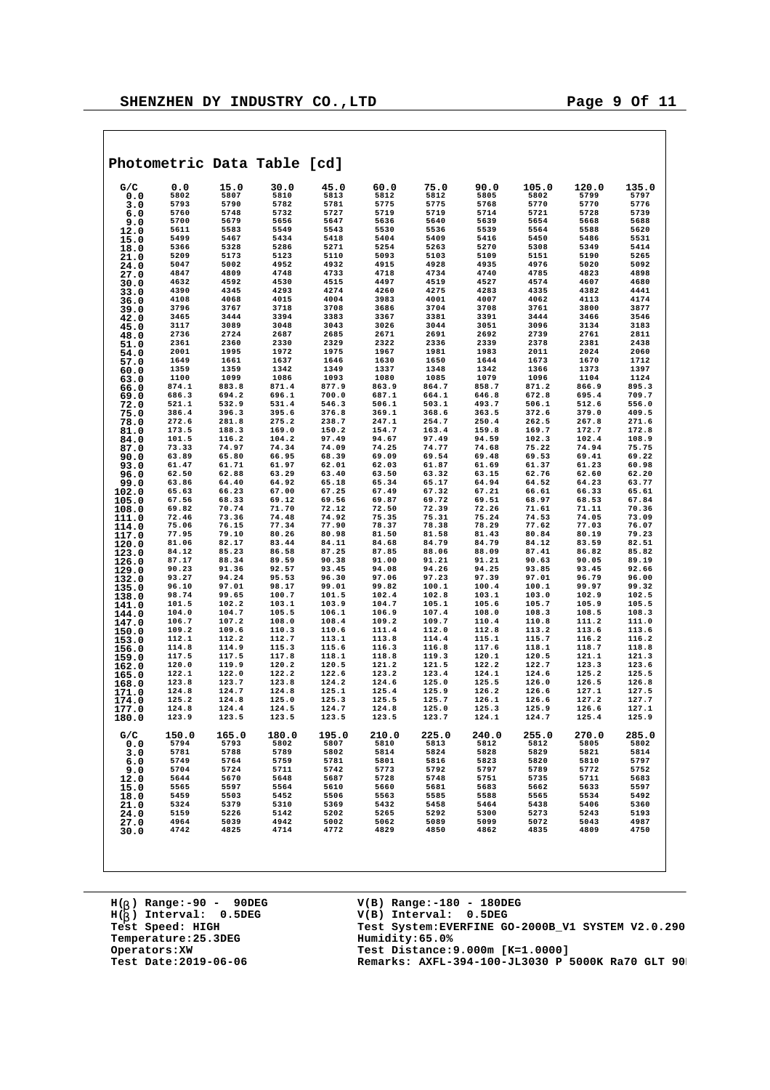|  | -<br>____ |
|--|-----------|
|  |           |
|  |           |
|  |           |
|  |           |
|  |           |
|  |           |
|  |           |

| Photometric Data Table [cd] |                |                |                |                |                |                |                |                |                |                |
|-----------------------------|----------------|----------------|----------------|----------------|----------------|----------------|----------------|----------------|----------------|----------------|
| G/C                         | 0.0            | 15.0           | 30.0           | 45.0           | 60.0           | 75.0           | 90.0           | 105.0          | 120.0          | 135.0          |
| 0.0                         | 5802           | 5807           | 5810           | 5813           | 5812           | 5812           | 5805           | 5802           | 5799           | 5797           |
| 3.0                         | 5793<br>5760   | 5790<br>5748   | 5782<br>5732   | 5781<br>5727   | 5775<br>5719   | 5775<br>5719   | 5768<br>5714   | 5770<br>5721   | 5770<br>5728   | 5776<br>5739   |
| 6.0<br>9.0                  | 5700           | 5679           | 5656           | 5647           | 5636           | 5640           | 5639           | 5654           | 5668           | 5688           |
| 12.0                        | 5611           | 5583           | 5549           | 5543           | 5530           | 5536           | 5539           | 5564           | 5588           | 5620           |
| 15.0                        | 5499           | 5467           | 5434           | 5418           | 5404           | 5409           | 5416           | 5450           | 5486           | 5531           |
| 18.0                        | 5366           | 5328           | 5286           | 5271           | 5254           | 5263           | 5270           | 5308           | 5349           | 5414           |
| 21.0<br>24.0                | 5209<br>5047   | 5173<br>5002   | 5123<br>4952   | 5110<br>4932   | 5093<br>4915   | 5103<br>4928   | 5109<br>4935   | 5151<br>4976   | 5190<br>5020   | 5265<br>5092   |
| 27.0                        | 4847           | 4809           | 4748           | 4733           | 4718           | 4734           | 4740           | 4785           | 4823           | 4898           |
| 30.0                        | 4632           | 4592           | 4530           | 4515           | 4497           | 4519           | 4527           | 4574           | 4607           | 4680           |
| 33.0                        | 4390           | 4345           | 4293           | 4274           | 4260           | 4275           | 4283           | 4335           | 4382           | 4441           |
| 36.0                        | 4108           | 4068           | 4015<br>3718   | 4004<br>3708   | 3983<br>3686   | 4001<br>3704   | 4007<br>3708   | 4062<br>3761   | 4113<br>3800   | 4174<br>3877   |
| 39.0<br>42.0                | 3796<br>3465   | 3767<br>3444   | 3394           | 3383           | 3367           | 3381           | 3391           | 3444           | 3466           | 3546           |
| 45.0                        | 3117           | 3089           | 3048           | 3043           | 3026           | 3044           | 3051           | 3096           | 3134           | 3183           |
| 48.0                        | 2736           | 2724           | 2687           | 2685           | 2671           | 2691           | 2692           | 2739           | 2761           | 2811           |
| 51.0                        | 2361           | 2360           | 2330           | 2329           | 2322           | 2336           | 2339           | 2378           | 2381           | 2438           |
| 54.0                        | 2001<br>1649   | 1995<br>1661   | 1972<br>1637   | 1975<br>1646   | 1967<br>1630   | 1981<br>1650   | 1983<br>1644   | 2011<br>1673   | 2024<br>1670   | 2060<br>1712   |
| 57.0<br>60.0                | 1359           | 1359           | 1342           | 1349           | 1337           | 1348           | 1342           | 1366           | 1373           | 1397           |
| 63.0                        | 1100           | 1099           | 1086           | 1093           | 1080           | 1085           | 1079           | 1096           | 1104           | 1124           |
| 66.0                        | 874.1          | 883.8          | 871.4          | 877.9          | 863.9          | 864.7          | 858.7          | 871.2          | 866.9          | 895.3          |
| 69.0                        | 686.3          | 694.2          | 696.1          | 700.0          | 687.1          | 664.1          | 646.8          | 672.8          | 695.4          | 709.7          |
| 72.0                        | 521.1<br>386.4 | 532.9<br>396.3 | 531.4<br>395.6 | 546.3<br>376.8 | 506.1<br>369.1 | 503.1<br>368.6 | 493.7<br>363.5 | 506.1<br>372.6 | 512.6<br>379.0 | 556.0<br>409.5 |
| 75.0<br>78.0                | 272.6          | 281.8          | 275.2          | 238.7          | 247.1          | 254.7          | 250.4          | 262.5          | 267.8          | 271.6          |
| 81.0                        | 173.5          | 188.3          | 169.0          | 150.2          | 154.7          | 163.4          | 159.8          | 169.7          | 172.7          | 172.8          |
| 84.0                        | 101.5          | 116.2          | 104.2          | 97.49          | 94.67          | 97.49          | 94.59          | 102.3          | 102.4          | 108.9          |
| 87.0                        | 73.33          | 74.97          | 74.34          | 74.09          | 74.25<br>69.09 | 74.77          | 74.68<br>69.48 | 75.22          | 74.94          | 75.75          |
| 90.0<br>93.0                | 63.89<br>61.47 | 65.80<br>61.71 | 66.95<br>61.97 | 68.39<br>62.01 | 62.03          | 69.54<br>61.87 | 61.69          | 69.53<br>61.37 | 69.41<br>61.23 | 69.22<br>60.98 |
| 96.0                        | 62.50          | 62.88          | 63.29          | 63.40          | 63.50          | 63.32          | 63.15          | 62.76          | 62.60          | 62.20          |
| 99.0                        | 63.86          | 64.40          | 64.92          | 65.18          | 65.34          | 65.17          | 64.94          | 64.52          | 64.23          | 63.77          |
| 102.0                       | 65.63          | 66.23          | 67.00          | 67.25          | 67.49          | 67.32          | 67.21          | 66.61          | 66.33          | 65.61          |
| 105.0                       | 67.56<br>69.82 | 68.33<br>70.74 | 69.12<br>71.70 | 69.56<br>72.12 | 69.87<br>72.50 | 69.72<br>72.39 | 69.51<br>72.26 | 68.97<br>71.61 | 68.53<br>71.11 | 67.84<br>70.36 |
| 108.0<br>111.0              | 72.46          | 73.36          | 74.48          | 74.92          | 75.35          | 75.31          | 75.24          | 74.53          | 74.05          | 73.09          |
| 114.0                       | 75.06          | 76.15          | 77.34          | 77.90          | 78.37          | 78.38          | 78.29          | 77.62          | 77.03          | 76.07          |
| 117.0                       | 77.95          | 79.10          | 80.26          | 80.98          | 81.50          | 81.58          | 81.43          | 80.84          | 80.19          | 79.23          |
| 120.0                       | 81.06          | 82.17          | 83.44          | 84.11          | 84.68          | 84.79          | 84.79          | 84.12          | 83.59          | 82.51          |
| 123.0                       | 84.12<br>87.17 | 85.23<br>88.34 | 86.58<br>89.59 | 87.25<br>90.38 | 87.85<br>91.00 | 88.06<br>91.21 | 88.09<br>91.21 | 87.41<br>90.63 | 86.82<br>90.05 | 85.82<br>89.19 |
| 126.0<br>129.0              | 90.23          | 91.36          | 92.57          | 93.45          | 94.08          | 94.26          | 94.25          | 93.85          | 93.45          | 92.66          |
| 132.0                       | 93.27          | 94.24          | 95.53          | 96.30          | 97.06          | 97.23          | 97.39          | 97.01          | 96.79          | 96.00          |
| 135.0                       | 96.10          | 97.01          | 98.17          | 99.01          | 99.82          | 100.1          | 100.4          | 100.1          | 99.97          | 99.32          |
| 138.0                       | 98.74          | 99.65          | 100.7          | 101.5          | 102.4          | 102.8          | 103.1          | 103.0          | 102.9          | 102.5          |
| 141.0                       | 101.5<br>104.0 | 102.2<br>104.7 | 103.1<br>105.5 | 103.9<br>106.1 | 104.7<br>106.9 | 105.1<br>107.4 | 105.6<br>108.0 | 105.7<br>108.3 | 105.9<br>108.5 | 105.5<br>108.3 |
| 144.0<br>147.0              | 106.7          | 107.2          | 108.0          | 108.4          | 109.2          | 109.7          | 110.4          | 110.8          | 111.2          | 111.0          |
| 150.0                       | 109.2          | 109.6          | 110.3          | 110.6          | 111.4          | 112.0          | 112.8          | 113.2          | 113.6          | 113.6          |
| 153.0                       | 112.1          | 112.2          | 112.7          | 113.1          | 113.8          | 114.4          | 115.1          | 115.7          | 116.2          | 116.2          |
| 156.0                       | 114.8          | 114.9          | 115.3          | 115.6          | 116.3          | 116.8          | 117.6<br>120.1 | 118.1          | 118.7          | 118.8          |
| 159.0                       | 117.5<br>120.0 | 117.5<br>119.9 | 117.8<br>120.2 | 118.1<br>120.5 | 118.8<br>121.2 | 119.3<br>121.5 | 122.2          | 120.5<br>122.7 | 121.1<br>123.3 | 121.3<br>123.6 |
| 162.0<br>165.0              | 122.1          | 122.0          | 122.2          | 122.6          | 123.2          | 123.4          | 124.1          | 124.6          | 125.2          | 125.5          |
| 168.0                       | 123.8          | 123.7          | 123.8          | 124.2          | 124.6          | 125.0          | 125.5          | 126.0          | 126.5          | 126.8          |
| 171.0                       | 124.8          | 124.7          | 124.8          | 125.1          | 125.4          | 125.9          | 126.2          | 126.6          | 127.1          | 127.5          |
| 174.0                       | 125.2<br>124.8 | 124.8<br>124.4 | 125.0<br>124.5 | 125.3<br>124.7 | 125.5<br>124.8 | 125.7<br>125.0 | 126.1<br>125.3 | 126.6<br>125.9 | 127.2<br>126.6 | 127.7<br>127.1 |
| 177.0<br>180.0              | 123.9          | 123.5          | 123.5          | 123.5          | 123.5          | 123.7          | 124.1          | 124.7          | 125.4          | 125.9          |
| G/C<br>0.0                  | 150.0<br>5794  | 165.0<br>5793  | 180.0<br>5802  | 195.0<br>5807  | 210.0<br>5810  | 225.0<br>5813  | 240.0<br>5812  | 255.0<br>5812  | 270.0<br>5805  | 285.0<br>5802  |
| 3.0                         | 5781           | 5788           | 5789           | 5802           | 5814           | 5824           | 5828           | 5829           | 5821           | 5814           |
| 6.0                         | 5749           | 5764           | 5759           | 5781           | 5801           | 5816           | 5823           | 5820           | 5810           | 5797           |
| 9.0                         | 5704           | 5724           | 5711           | 5742           | 5773           | 5792           | 5797           | 5789           | 5772           | 5752           |
| 12.0<br>15.0                | 5644<br>5565   | 5670<br>5597   | 5648<br>5564   | 5687<br>5610   | 5728<br>5660   | 5748<br>5681   | 5751<br>5683   | 5735<br>5662   | 5711<br>5633   | 5683<br>5597   |
| 18.0                        | 5459           | 5503           | 5452           | 5506           | 5563           | 5585           | 5588           | 5565           | 5534           | 5492           |
| 21.0                        | 5324           | 5379           | 5310           | 5369           | 5432           | 5458           | 5464           | 5438           | 5406           | 5360           |
| 24.0                        | 5159           | 5226           | 5142           | 5202           | 5265           | 5292           | 5300           | 5273           | 5243           | 5193           |
| 27.0                        | 4964           | 5039           | 4942           | 5002           | 5062           | 5089           | 5099           | 5072           | 5043           | 4987           |
| 30.0                        | 4742           | 4825           | 4714           | 4772           | 4829           | 4850           | 4862           | 4835           | 4809           | 4750           |
|                             |                |                |                |                |                |                |                |                |                |                |

**H( ) Range:-90 - 90DEG** H(<sub>b</sub>) Range:-90 - 90DE<br>H(<sub>b</sub>) Interval: 0.5DEG **b Temperature: 25.3DEG**<br> **Operators: XW**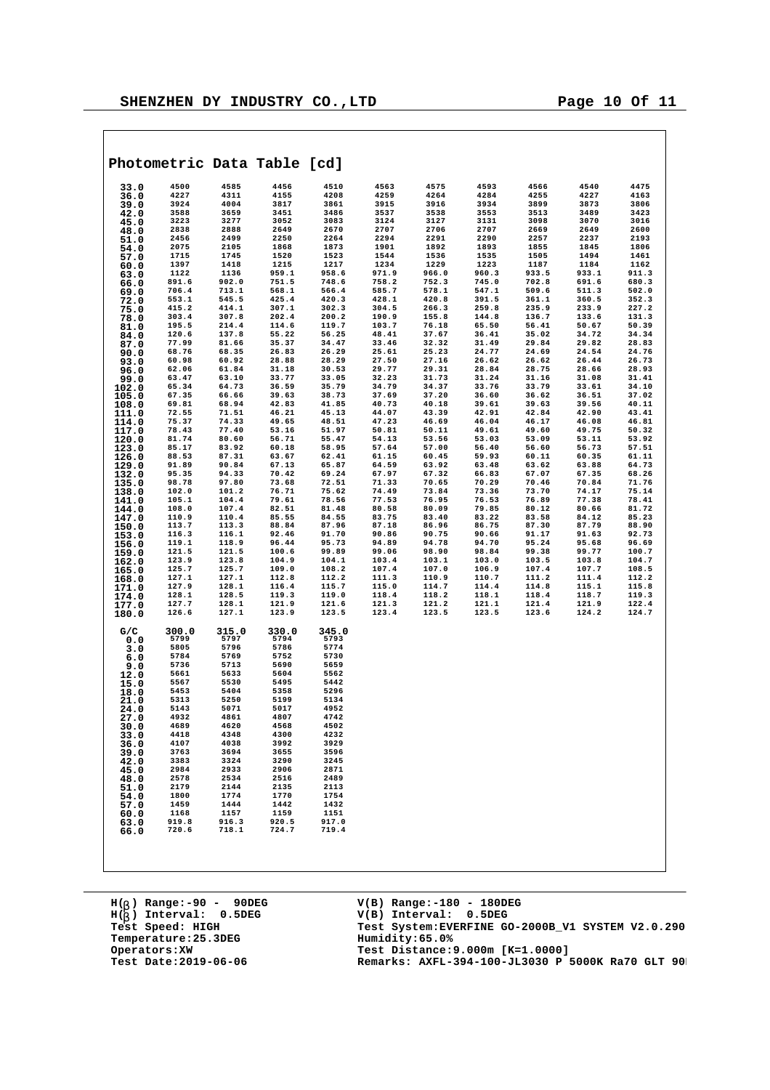| Photometric Data Table [cd] |       |       |       |       |       |       |       |       |       |       |
|-----------------------------|-------|-------|-------|-------|-------|-------|-------|-------|-------|-------|
| 33.0                        | 4500  | 4585  | 4456  | 4510  | 4563  | 4575  | 4593  | 4566  | 4540  | 4475  |
| 36.0                        | 4227  | 4311  | 4155  | 4208  | 4259  | 4264  | 4284  | 4255  | 4227  | 4163  |
| 39.0                        | 3924  | 4004  | 3817  | 3861  | 3915  | 3916  | 3934  | 3899  | 3873  | 3806  |
| 42.0                        | 3588  | 3659  | 3451  | 3486  | 3537  | 3538  | 3553  | 3513  | 3489  | 3423  |
| 45.0                        | 3223  | 3277  | 3052  | 3083  | 3124  | 3127  | 3131  | 3098  | 3070  | 3016  |
| 48.0                        | 2838  | 2888  | 2649  | 2670  | 2707  | 2706  | 2707  | 2669  | 2649  | 2600  |
| 51.0                        | 2456  | 2499  | 2250  | 2264  | 2294  | 2291  | 2290  | 2257  | 2237  | 2193  |
| 54.0                        | 2075  | 2105  | 1868  | 1873  | 1901  | 1892  | 1893  | 1855  | 1845  | 1806  |
| 57.0                        | 1715  | 1745  | 1520  | 1523  | 1544  | 1536  | 1535  | 1505  | 1494  | 1461  |
| 60.0                        | 1397  | 1418  | 1215  | 1217  | 1234  | 1229  | 1223  | 1187  | 1184  | 1162  |
| 63.0                        | 1122  | 1136  | 959.1 | 958.6 | 971.9 | 966.0 | 960.3 | 933.5 | 933.1 | 911.3 |
| 66.0                        | 891.6 | 902.0 | 751.5 | 748.6 | 758.2 | 752.3 | 745.0 | 702.8 | 691.6 | 680.3 |
| 69.0                        | 706.4 | 713.1 | 568.1 | 566.4 | 585.7 | 578.1 | 547.1 | 509.6 | 511.3 | 502.0 |
| 72.0                        | 553.1 | 545.5 | 425.4 | 420.3 | 428.1 | 420.8 | 391.5 | 361.1 | 360.5 | 352.3 |
| 75.0                        | 415.2 | 414.1 | 307.1 | 302.3 | 304.5 | 266.3 | 259.8 | 235.9 | 233.9 | 227.2 |
| 78.0                        | 303.4 | 307.8 | 202.4 | 200.2 | 190.9 | 155.8 | 144.8 | 136.7 | 133.6 | 131.3 |
| 81.0                        | 195.5 | 214.4 | 114.6 | 119.7 | 103.7 | 76.18 | 65.50 | 56.41 | 50.67 | 50.39 |
| 84.0                        | 120.6 | 137.8 | 55.22 | 56.25 | 48.41 | 37.67 | 36.41 | 35.02 | 34.72 | 34.34 |
| 87.0                        | 77.99 | 81.66 | 35.37 | 34.47 | 33.46 | 32.32 | 31.49 | 29.84 | 29.82 | 28.83 |
| 90.0                        | 68.76 | 68.35 | 26.83 | 26.29 | 25.61 | 25.23 | 24.77 | 24.69 | 24.54 | 24.76 |
| 93.0                        | 60.98 | 60.92 | 28.88 | 28.29 | 27.50 | 27.16 | 26.62 | 26.62 | 26.44 | 26.73 |
| 96.0                        | 62.06 | 61.84 | 31.18 | 30.53 | 29.77 | 29.31 | 28.84 | 28.75 | 28.66 | 28.93 |
| 99.0                        | 63.47 | 63.10 | 33.77 | 33.05 | 32.23 | 31.73 | 31.24 | 31.16 | 31.08 | 31.41 |
| 102.0                       | 65.34 | 64.73 | 36.59 | 35.79 | 34.79 | 34.37 | 33.76 | 33.79 | 33.61 | 34.10 |
| 105.0                       | 67.35 | 66.66 | 39.63 | 38.73 | 37.69 | 37.20 | 36.60 | 36.62 | 36.51 | 37.02 |
| 108.0                       | 69.81 | 68.94 | 42.83 | 41.85 | 40.73 | 40.18 | 39.61 | 39.63 | 39.56 | 40.11 |
| 111.0                       | 72.55 | 71.51 | 46.21 | 45.13 | 44.07 | 43.39 | 42.91 | 42.84 | 42.90 | 43.41 |
| 114.0                       | 75.37 | 74.33 | 49.65 | 48.51 | 47.23 | 46.69 | 46.04 | 46.17 | 46.08 | 46.81 |
| 117.0                       | 78.43 | 77.40 | 53.16 | 51.97 | 50.81 | 50.11 | 49.61 | 49.60 | 49.75 | 50.32 |
| 120.0                       | 81.74 | 80.60 | 56.71 | 55.47 | 54.13 | 53.56 | 53.03 | 53.09 | 53.11 | 53.92 |
| 123.0                       | 85.17 | 83.92 | 60.18 | 58.95 | 57.64 | 57.00 | 56.40 | 56.60 | 56.73 | 57.51 |

| 33.0  | 4500  | 4585                                             | 4456                                                                                                | 4510                                                                                           | 4563                                                                      | 4575                                                                                                                                                                                                                                                                                    | 4593  | 4566                                                                                                                                                                                                                                                              | 4540  | 4475  |
|-------|-------|--------------------------------------------------|-----------------------------------------------------------------------------------------------------|------------------------------------------------------------------------------------------------|---------------------------------------------------------------------------|-----------------------------------------------------------------------------------------------------------------------------------------------------------------------------------------------------------------------------------------------------------------------------------------|-------|-------------------------------------------------------------------------------------------------------------------------------------------------------------------------------------------------------------------------------------------------------------------|-------|-------|
| 36.0  | 4227  | 4311                                             | 4155                                                                                                | 4208                                                                                           | 4259                                                                      | 4264                                                                                                                                                                                                                                                                                    | 4284  | 4255                                                                                                                                                                                                                                                              | 4227  | 4163  |
|       |       |                                                  |                                                                                                     |                                                                                                |                                                                           |                                                                                                                                                                                                                                                                                         |       |                                                                                                                                                                                                                                                                   |       |       |
| 39.0  | 3924  | 4004                                             | 3817                                                                                                | 3861                                                                                           | 3915                                                                      | 3916                                                                                                                                                                                                                                                                                    | 3934  | 3899                                                                                                                                                                                                                                                              | 3873  | 3806  |
| 42.0  | 3588  | 3659                                             | 3451                                                                                                | 3486                                                                                           | 3537                                                                      | 3538                                                                                                                                                                                                                                                                                    | 3553  | 3513                                                                                                                                                                                                                                                              | 3489  | 3423  |
| 45.0  | 3223  | 3277                                             | 3052                                                                                                | 3083                                                                                           | 3124                                                                      | 3127                                                                                                                                                                                                                                                                                    | 3131  | 3098                                                                                                                                                                                                                                                              | 3070  | 3016  |
| 48.0  | 2838  | 2888                                             | 2649                                                                                                |                                                                                                | 2707                                                                      |                                                                                                                                                                                                                                                                                         |       |                                                                                                                                                                                                                                                                   | 2649  | 2600  |
|       | 2456  | 2499                                             | 2250                                                                                                |                                                                                                | 2294                                                                      |                                                                                                                                                                                                                                                                                         |       |                                                                                                                                                                                                                                                                   | 2237  | 2193  |
| 51.0  |       |                                                  |                                                                                                     |                                                                                                |                                                                           |                                                                                                                                                                                                                                                                                         |       |                                                                                                                                                                                                                                                                   |       |       |
| 54.0  | 2075  |                                                  |                                                                                                     |                                                                                                | 1901                                                                      |                                                                                                                                                                                                                                                                                         |       |                                                                                                                                                                                                                                                                   | 1845  | 1806  |
| 57.0  | 1715  |                                                  |                                                                                                     |                                                                                                | 1544                                                                      |                                                                                                                                                                                                                                                                                         |       |                                                                                                                                                                                                                                                                   | 1494  | 1461  |
| 60.0  | 1397  | 2105 225<br>1745 1520<br>1418 1215<br>1136 959.1 |                                                                                                     | $\begin{array}{r} 3083 \\ 2670 \\ 2264 \\ 1873 \\ 1523 \\ 1217 \\ 958.6 \\ \hline \end{array}$ | 1234                                                                      | $\begin{array}{rrrr} 312 & 312 & 312 \\ 2706 & 2707 \\ 2291 & 2290 \\ 1892 & 1893 \\ 1536 & 1535 \\ 1229 & 1223 \\ 966.0 & 960.3 \\ 276 & 360.3 \\ \end{array}$                                                                                                                         |       | 3131<br>2707 2669<br>2290 2257<br>1893 1855<br>1535 1505<br>1223 1187<br>960.3 933.5<br><sup>n</sup> *fn 702.8                                                                                                                                                    | 1184  | 1162  |
|       | 1122  |                                                  | 959.1                                                                                               |                                                                                                | 971.9                                                                     |                                                                                                                                                                                                                                                                                         |       |                                                                                                                                                                                                                                                                   | 933.1 | 911.3 |
| 63.0  |       |                                                  |                                                                                                     |                                                                                                |                                                                           |                                                                                                                                                                                                                                                                                         |       |                                                                                                                                                                                                                                                                   |       |       |
| 66.0  | 891.6 | 902.0                                            | 751.5                                                                                               | 748.6                                                                                          | 758.2                                                                     | 752.3                                                                                                                                                                                                                                                                                   | 745.0 | 702.8                                                                                                                                                                                                                                                             | 691.6 | 680.3 |
| 69.0  | 706.4 | 713.1                                            | 568.1                                                                                               | 566.4                                                                                          | 585.7                                                                     |                                                                                                                                                                                                                                                                                         |       |                                                                                                                                                                                                                                                                   | 511.3 | 502.0 |
| 72.0  | 553.1 | 545.5                                            |                                                                                                     | 420.3                                                                                          | 428.1                                                                     |                                                                                                                                                                                                                                                                                         |       |                                                                                                                                                                                                                                                                   | 360.5 | 352.3 |
| 75.0  | 415.2 | 414.1                                            |                                                                                                     |                                                                                                | 304.5                                                                     |                                                                                                                                                                                                                                                                                         |       |                                                                                                                                                                                                                                                                   | 233.9 | 227.2 |
|       | 303.4 | 307.8                                            | $425.4$<br>$307.1$<br>$202.4$<br>$114.6$<br>$55.22$<br>$35.37$                                      | 302.3<br>200.2                                                                                 | 190.9                                                                     | $\begin{array}{cccc} 72.3 & 73.7 & 84.7 & 9 \\ 54.1 & 547.1 & 547.1 \\ 20.8 & 391.5 \\ 266.3 & 259.8 \\ 155.8 & 144.8 \\ 76.18 & 65.50 \\ 32.32 & 31.49 \\ 25.23 & 24.77 \\ 25.23 & 24.77 \\ 25.23 & 24.77 \\ 25.24 & 25.78 \\ 26.78 & 27.78 \\ 28.79 & 29.79 \\ 29.79 & 21.79 \\ 21.7$ |       | $\begin{array}{r} 0.2486 \ 0.9046 \ 0.9046 \ 0.9046 \ 0.9046 \ 0.9046 \ 0.9046 \ 0.9046 \ 0.9046 \ 0.9046 \ 0.9046 \ 0.9046 \ 0.9046 \ 0.9046 \ 0.9046 \ 0.9046 \ 0.9046 \ 0.9046 \ 0.9046 \ 0.9046 \ 0.9046 \ 0.9046 \ 0.9046 \ 0.9046 \ 0.9046 \ 0.9046 \ 0.90$ | 133.6 | 131.3 |
| 78.0  |       |                                                  |                                                                                                     | $200.2$<br>119.7<br>56.25<br>34.47                                                             |                                                                           |                                                                                                                                                                                                                                                                                         |       |                                                                                                                                                                                                                                                                   |       |       |
| 81.0  | 195.5 |                                                  |                                                                                                     |                                                                                                | 103.7                                                                     |                                                                                                                                                                                                                                                                                         |       |                                                                                                                                                                                                                                                                   | 50.67 | 50.39 |
| 84.0  | 120.6 |                                                  |                                                                                                     |                                                                                                | 48.41                                                                     |                                                                                                                                                                                                                                                                                         |       |                                                                                                                                                                                                                                                                   | 34.72 | 34.34 |
| 87.0  | 77.99 | 214.4<br>137.8<br>81.66                          |                                                                                                     |                                                                                                | 33.46                                                                     |                                                                                                                                                                                                                                                                                         | 31.49 |                                                                                                                                                                                                                                                                   | 29.82 | 28.83 |
| 90.0  | 68.76 | 68.35                                            | 26.83                                                                                               | 26.29                                                                                          | 25.61                                                                     |                                                                                                                                                                                                                                                                                         | 24.77 |                                                                                                                                                                                                                                                                   | 24.54 | 24.76 |
|       | 60.98 | 60.92                                            | 28.88                                                                                               | 28.29                                                                                          | 27.50                                                                     |                                                                                                                                                                                                                                                                                         |       |                                                                                                                                                                                                                                                                   | 26.44 | 26.73 |
| 93.0  |       |                                                  |                                                                                                     |                                                                                                |                                                                           |                                                                                                                                                                                                                                                                                         |       |                                                                                                                                                                                                                                                                   |       |       |
| 96.0  | 62.06 | 61.84                                            |                                                                                                     |                                                                                                |                                                                           |                                                                                                                                                                                                                                                                                         |       |                                                                                                                                                                                                                                                                   | 28.66 | 28.93 |
| 99.0  | 63.47 | 63.10                                            |                                                                                                     |                                                                                                |                                                                           |                                                                                                                                                                                                                                                                                         |       |                                                                                                                                                                                                                                                                   | 31.08 | 31.41 |
| 102.0 | 65.34 | 64.73                                            |                                                                                                     |                                                                                                |                                                                           |                                                                                                                                                                                                                                                                                         |       |                                                                                                                                                                                                                                                                   | 33.61 | 34.10 |
| 105.0 | 67.35 |                                                  |                                                                                                     |                                                                                                |                                                                           |                                                                                                                                                                                                                                                                                         |       |                                                                                                                                                                                                                                                                   | 36.51 | 37.02 |
|       | 69.81 | $66.66$ $68.94$ $71.51$ $74.33$                  | $31.18$<br>$33.77$<br>$36.59$<br>$39.63$<br>$42.83$<br>$46.21$<br>$49.65$                           | 20.53<br>29.77<br>33.05<br>35.79<br>36.73<br>34.79<br>41.8<br>42.51<br>48.51<br>47.23          |                                                                           | 27.16<br>29.31<br>31.73<br>34.37<br>37.20<br>40.18<br>43.39<br>46.69<br>50.11                                                                                                                                                                                                           |       | $26.62$<br>$26.62$<br>$26.62$<br>$28.84$<br>$28.75$<br>$31.76$<br>$33.79$<br>$36.60$<br>$36.62$<br>$39.63$<br>$42.91$<br>$42.84$<br>$46.17$<br>$49.60$<br>$49.70$<br>$49.60$                                                                                      | 39.56 | 40.11 |
| 108.0 |       |                                                  |                                                                                                     |                                                                                                |                                                                           |                                                                                                                                                                                                                                                                                         |       |                                                                                                                                                                                                                                                                   |       |       |
| 111.0 | 72.55 |                                                  |                                                                                                     |                                                                                                |                                                                           |                                                                                                                                                                                                                                                                                         |       |                                                                                                                                                                                                                                                                   | 42.90 | 43.41 |
| 114.0 | 75.37 | 74.33                                            |                                                                                                     |                                                                                                |                                                                           |                                                                                                                                                                                                                                                                                         |       |                                                                                                                                                                                                                                                                   | 46.08 | 46.81 |
| 117.0 | 78.43 | 77.40                                            | 53.16                                                                                               | 51.97                                                                                          | 50.81                                                                     | 50.11                                                                                                                                                                                                                                                                                   |       |                                                                                                                                                                                                                                                                   | 49.75 | 50.32 |
| 120.0 | 81.74 | 80.60                                            | 56.71                                                                                               | 55.47                                                                                          | 54.13                                                                     |                                                                                                                                                                                                                                                                                         | 53.03 |                                                                                                                                                                                                                                                                   | 53.11 | 53.92 |
|       | 85.17 | 83.92                                            | 60.18                                                                                               | 58.95                                                                                          |                                                                           |                                                                                                                                                                                                                                                                                         | 56.40 |                                                                                                                                                                                                                                                                   | 56.73 | 57.51 |
| 123.0 |       |                                                  |                                                                                                     |                                                                                                |                                                                           |                                                                                                                                                                                                                                                                                         |       |                                                                                                                                                                                                                                                                   |       |       |
| 126.0 | 88.53 | 87.31                                            | 63.67                                                                                               | 62.41                                                                                          |                                                                           |                                                                                                                                                                                                                                                                                         | 59.93 |                                                                                                                                                                                                                                                                   | 60.35 | 61.11 |
| 129.0 | 91.89 | 90.84                                            | 67.13                                                                                               | 65.87                                                                                          | $54.13$<br>$57.64$<br>$61.15$<br>$64.59$<br>$67.97$<br>$71.33$<br>$74.49$ | 53.56<br>57.00<br>60.45<br>63.92<br>67.32<br>70.65<br>73.84<br>76.95                                                                                                                                                                                                                    | 63.48 | $49.60$<br>$53.09$<br>$56.60$<br>$60.11$<br>$63.62$<br>$67.07$<br>$70.46$<br>$73.70$<br>$76.89$                                                                                                                                                                   | 63.88 | 64.73 |
| 132.0 | 95.35 | 94.33<br>97.80<br>101.2                          | 70.42                                                                                               | 69.24                                                                                          |                                                                           |                                                                                                                                                                                                                                                                                         | 66.83 |                                                                                                                                                                                                                                                                   | 67.35 | 68.26 |
| 135.0 | 98.78 |                                                  | 73.68                                                                                               | 72.51                                                                                          |                                                                           |                                                                                                                                                                                                                                                                                         | 70.29 |                                                                                                                                                                                                                                                                   | 70.84 | 71.76 |
|       | 102.0 |                                                  | 76.71                                                                                               | 75.62                                                                                          |                                                                           |                                                                                                                                                                                                                                                                                         | 73.36 |                                                                                                                                                                                                                                                                   | 74.17 | 75.14 |
| 138.0 |       |                                                  |                                                                                                     |                                                                                                |                                                                           |                                                                                                                                                                                                                                                                                         |       |                                                                                                                                                                                                                                                                   |       |       |
| 141.0 | 105.1 | 104.4                                            | 79.61                                                                                               | 78.56                                                                                          | 77.53                                                                     |                                                                                                                                                                                                                                                                                         | 76.53 |                                                                                                                                                                                                                                                                   | 77.38 | 78.41 |
| 144.0 | 108.0 | 107.4                                            | 82.51                                                                                               | 81.48                                                                                          | 80.58                                                                     |                                                                                                                                                                                                                                                                                         |       |                                                                                                                                                                                                                                                                   | 80.66 | 81.72 |
| 147.0 | 110.9 |                                                  |                                                                                                     |                                                                                                | 83.75                                                                     |                                                                                                                                                                                                                                                                                         |       |                                                                                                                                                                                                                                                                   | 84.12 | 85.23 |
| 150.0 | 113.7 | 110.4<br>113.3<br>116.1                          |                                                                                                     | 84.55<br>87.96<br>91.70                                                                        | 87.18                                                                     |                                                                                                                                                                                                                                                                                         |       |                                                                                                                                                                                                                                                                   | 87.79 | 88.90 |
|       | 116.3 |                                                  |                                                                                                     |                                                                                                | 90.86                                                                     |                                                                                                                                                                                                                                                                                         |       |                                                                                                                                                                                                                                                                   | 91.63 | 92.73 |
| 153.0 |       |                                                  |                                                                                                     |                                                                                                |                                                                           |                                                                                                                                                                                                                                                                                         |       |                                                                                                                                                                                                                                                                   |       |       |
| 156.0 | 119.1 | $118.9$<br>$121.5$<br>$123.8$                    | $\begin{array}{r} 62.31 \\ 85.55 \\ 88.84 \\ 92.46 \\ 96.44 \\ 100.6 \\ 104.9 \\ 109.0 \end{array}$ | 95.73<br>99.89<br>99.89<br>104.1<br>108.2                                                      | 94.89                                                                     | $\begin{array}{r} 60.99 \\ 80.09 \\ 83.40 \\ 86.96 \\ 90.75 \\ 94.78 \\ 98.90 \\ 103.1 \\ 107.0 \\ 10.9 \\ \end{array}$                                                                                                                                                                 |       |                                                                                                                                                                                                                                                                   | 95.68 | 96.69 |
| 159.0 | 121.5 |                                                  |                                                                                                     |                                                                                                | 99.06                                                                     |                                                                                                                                                                                                                                                                                         |       |                                                                                                                                                                                                                                                                   | 99.77 | 100.7 |
| 162.0 | 123.9 |                                                  |                                                                                                     |                                                                                                | 103.4                                                                     |                                                                                                                                                                                                                                                                                         |       |                                                                                                                                                                                                                                                                   | 103.8 | 104.7 |
| 165.0 | 125.7 | 125.7                                            |                                                                                                     |                                                                                                | 107.4                                                                     |                                                                                                                                                                                                                                                                                         |       |                                                                                                                                                                                                                                                                   | 107.7 | 108.5 |
|       | 127.1 | 127.1                                            | 112.8                                                                                               | 112.2                                                                                          |                                                                           |                                                                                                                                                                                                                                                                                         |       |                                                                                                                                                                                                                                                                   | 111.4 | 112.2 |
| 168.0 |       |                                                  |                                                                                                     |                                                                                                |                                                                           |                                                                                                                                                                                                                                                                                         |       |                                                                                                                                                                                                                                                                   |       |       |
| 171.0 | 127.9 | 128.1                                            |                                                                                                     |                                                                                                |                                                                           |                                                                                                                                                                                                                                                                                         |       |                                                                                                                                                                                                                                                                   | 115.1 | 115.8 |
| 174.0 | 128.1 | 128.5                                            |                                                                                                     |                                                                                                |                                                                           |                                                                                                                                                                                                                                                                                         |       |                                                                                                                                                                                                                                                                   | 118.7 | 119.3 |
| 177.0 | 127.7 | 128.1                                            |                                                                                                     | 115.7<br>119.0<br>121.6                                                                        |                                                                           |                                                                                                                                                                                                                                                                                         |       |                                                                                                                                                                                                                                                                   | 121.9 | 122.4 |
| 180.0 | 126.6 | 127.1                                            | 116.4<br>119.3<br>121.9<br>123.9<br>123.9                                                           | 123.5                                                                                          | 111.3<br>115.0<br>118.4<br>121.3<br>123.4<br>123.4                        | $110.9$<br>$114.7$<br>$118.2$<br>$121.2$<br>$123.5$<br>123.5                                                                                                                                                                                                                            |       | $\begin{array}{cccc} 76.53 & 76.89 \\ 79.85 & 80.12 \\ 83.22 & 83.58 \\ 86.75 & 87.30 \\ 90.66 & 91.17 \\ 94.70 & 95.24 \\ 98.84 & 99.38 \\ 103.0 & 103.5 \\ 106.9 & 107.4 \\ 110.7 & 111.2 \\ 114.4 & 144.8 \\ 121.1 & 121.4 \\ 123.5 & 123.6 \end{array}$       | 124.2 | 124.7 |
|       |       |                                                  |                                                                                                     |                                                                                                |                                                                           |                                                                                                                                                                                                                                                                                         |       |                                                                                                                                                                                                                                                                   |       |       |
|       |       |                                                  |                                                                                                     |                                                                                                |                                                                           |                                                                                                                                                                                                                                                                                         |       |                                                                                                                                                                                                                                                                   |       |       |
| G/C   | 300.0 | 315.0                                            | 330.0                                                                                               | 345.0                                                                                          |                                                                           |                                                                                                                                                                                                                                                                                         |       |                                                                                                                                                                                                                                                                   |       |       |
| 0.0   | 5799  | 5797                                             | 5794                                                                                                | 5793                                                                                           |                                                                           |                                                                                                                                                                                                                                                                                         |       |                                                                                                                                                                                                                                                                   |       |       |
| 3.0   | 5805  | 5796                                             | 5786                                                                                                | 5774                                                                                           |                                                                           |                                                                                                                                                                                                                                                                                         |       |                                                                                                                                                                                                                                                                   |       |       |
| 6.0   | 5784  | 5769                                             | 5752                                                                                                | 5730                                                                                           |                                                                           |                                                                                                                                                                                                                                                                                         |       |                                                                                                                                                                                                                                                                   |       |       |
| 9.0   | 5736  | 5713                                             | 5690                                                                                                | 5659                                                                                           |                                                                           |                                                                                                                                                                                                                                                                                         |       |                                                                                                                                                                                                                                                                   |       |       |
| 12.0  | 5661  | 5633                                             | 5604                                                                                                | 5562                                                                                           |                                                                           |                                                                                                                                                                                                                                                                                         |       |                                                                                                                                                                                                                                                                   |       |       |
|       | 5567  | 5530                                             | 5495                                                                                                | 5442                                                                                           |                                                                           |                                                                                                                                                                                                                                                                                         |       |                                                                                                                                                                                                                                                                   |       |       |
| 15.0  |       | 5530<br>5404<br>5250<br>5071                     |                                                                                                     | 5442<br>5296                                                                                   |                                                                           |                                                                                                                                                                                                                                                                                         |       |                                                                                                                                                                                                                                                                   |       |       |
| 18.0  | 5453  |                                                  | 5358<br>5358<br>5199<br>5017                                                                        |                                                                                                |                                                                           |                                                                                                                                                                                                                                                                                         |       |                                                                                                                                                                                                                                                                   |       |       |
| 21.0  | 5313  |                                                  |                                                                                                     | 5134                                                                                           |                                                                           |                                                                                                                                                                                                                                                                                         |       |                                                                                                                                                                                                                                                                   |       |       |
| 24.0  | 5143  |                                                  |                                                                                                     | 4952                                                                                           |                                                                           |                                                                                                                                                                                                                                                                                         |       |                                                                                                                                                                                                                                                                   |       |       |
| 27.0  | 4932  | 4861                                             | 4807                                                                                                | 4742                                                                                           |                                                                           |                                                                                                                                                                                                                                                                                         |       |                                                                                                                                                                                                                                                                   |       |       |
|       | 4689  |                                                  | 4568                                                                                                | 4502                                                                                           |                                                                           |                                                                                                                                                                                                                                                                                         |       |                                                                                                                                                                                                                                                                   |       |       |
| 30.0  |       |                                                  |                                                                                                     | 4232                                                                                           |                                                                           |                                                                                                                                                                                                                                                                                         |       |                                                                                                                                                                                                                                                                   |       |       |
| 33.0  | 4418  | $4620$<br>$4348$<br>$4038$<br>$-94$              | 4300                                                                                                |                                                                                                |                                                                           |                                                                                                                                                                                                                                                                                         |       |                                                                                                                                                                                                                                                                   |       |       |
| 36.0  | 4107  |                                                  | 3992                                                                                                | 3929                                                                                           |                                                                           |                                                                                                                                                                                                                                                                                         |       |                                                                                                                                                                                                                                                                   |       |       |
| 39.0  | 3763  |                                                  | 3655                                                                                                | 3596                                                                                           |                                                                           |                                                                                                                                                                                                                                                                                         |       |                                                                                                                                                                                                                                                                   |       |       |
| 42.0  | 3383  | 3324                                             | 3290                                                                                                | 3245                                                                                           |                                                                           |                                                                                                                                                                                                                                                                                         |       |                                                                                                                                                                                                                                                                   |       |       |
| 45.0  | 2984  | 2933                                             | 2906                                                                                                | 2871                                                                                           |                                                                           |                                                                                                                                                                                                                                                                                         |       |                                                                                                                                                                                                                                                                   |       |       |
|       | 2578  | 2534                                             | 2516                                                                                                | 2489                                                                                           |                                                                           |                                                                                                                                                                                                                                                                                         |       |                                                                                                                                                                                                                                                                   |       |       |
| 48.0  |       |                                                  |                                                                                                     |                                                                                                |                                                                           |                                                                                                                                                                                                                                                                                         |       |                                                                                                                                                                                                                                                                   |       |       |
| 51.0  | 2179  | 2144                                             | 2135                                                                                                | 2113                                                                                           |                                                                           |                                                                                                                                                                                                                                                                                         |       |                                                                                                                                                                                                                                                                   |       |       |
| 54.0  | 1800  | 1774                                             | 1770                                                                                                | 1754                                                                                           |                                                                           |                                                                                                                                                                                                                                                                                         |       |                                                                                                                                                                                                                                                                   |       |       |
| 57.0  | 1459  | 1444                                             | 1442                                                                                                | 1432                                                                                           |                                                                           |                                                                                                                                                                                                                                                                                         |       |                                                                                                                                                                                                                                                                   |       |       |
| 60.0  | 1168  | 1157                                             | 1159                                                                                                | 1151                                                                                           |                                                                           |                                                                                                                                                                                                                                                                                         |       |                                                                                                                                                                                                                                                                   |       |       |
|       | 919.8 | 916.3                                            | 920.5                                                                                               | 917.0                                                                                          |                                                                           |                                                                                                                                                                                                                                                                                         |       |                                                                                                                                                                                                                                                                   |       |       |
| 63.0  |       |                                                  |                                                                                                     |                                                                                                |                                                                           |                                                                                                                                                                                                                                                                                         |       |                                                                                                                                                                                                                                                                   |       |       |
| 66.0  | 720.6 | 718.1                                            | 724.7                                                                                               | 719.4                                                                                          |                                                                           |                                                                                                                                                                                                                                                                                         |       |                                                                                                                                                                                                                                                                   |       |       |
|       |       |                                                  |                                                                                                     |                                                                                                |                                                                           |                                                                                                                                                                                                                                                                                         |       |                                                                                                                                                                                                                                                                   |       |       |

**H( ) Range:-90 - 90DEG** H(<sub>b</sub>) Range:-90 - 90DE<br>H(<sub>b</sub>) Interval: 0.5DEG **b Temperature: 25.3DEG**<br> **Operators: XW**